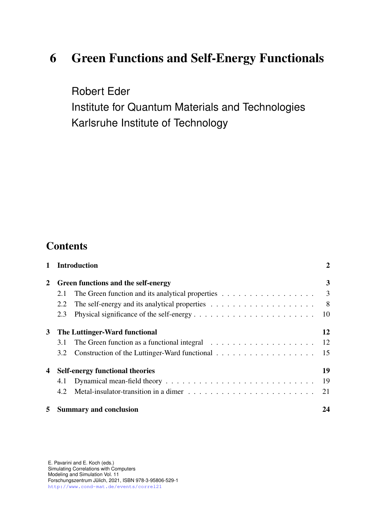# 6 Green Functions and Self-Energy Functionals

Robert Eder Institute for Quantum Materials and Technologies Karlsruhe Institute of Technology

## **Contents**

| $\mathbf{1}$   |                                        | <b>Introduction</b>                                                                          | 2              |
|----------------|----------------------------------------|----------------------------------------------------------------------------------------------|----------------|
| $\overline{2}$ | Green functions and the self-energy    |                                                                                              | 3              |
|                | 2.1                                    | The Green function and its analytical properties $\ldots \ldots \ldots \ldots \ldots \ldots$ |                |
|                | 2.2                                    |                                                                                              | 8 <sup>8</sup> |
|                | 2.3                                    |                                                                                              | -10            |
| 3 <sup>1</sup> | The Luttinger-Ward functional          |                                                                                              | 12             |
|                | 3.1                                    | The Green function as a functional integral $\ldots \ldots \ldots \ldots \ldots \ldots$      | -12            |
|                | 3.2                                    |                                                                                              |                |
| 4              | <b>Self-energy functional theories</b> |                                                                                              | 19             |
|                |                                        |                                                                                              | 19             |
|                | 4.2                                    |                                                                                              | 21             |
| 5              |                                        | <b>Summary and conclusion</b>                                                                | 24             |

E. Pavarini and E. Koch (eds.) Simulating Correlations with Computers Modeling and Simulation Vol. 11 Forschungszentrum Julich, 2021, ISBN 978-3-95806-529-1 ¨ <http://www.cond-mat.de/events/correl21>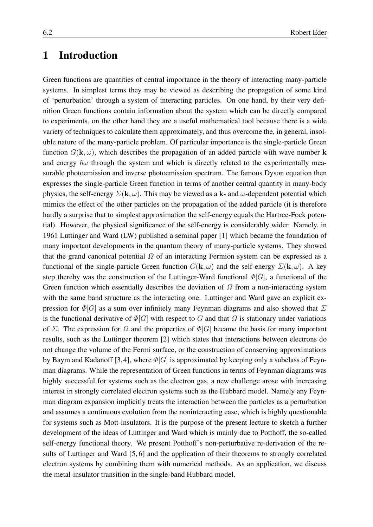## <span id="page-1-0"></span>1 Introduction

Green functions are quantities of central importance in the theory of interacting many-particle systems. In simplest terms they may be viewed as describing the propagation of some kind of 'perturbation' through a system of interacting particles. On one hand, by their very definition Green functions contain information about the system which can be directly compared to experiments, on the other hand they are a useful mathematical tool because there is a wide variety of techniques to calculate them approximately, and thus overcome the, in general, insoluble nature of the many-particle problem. Of particular importance is the single-particle Green function  $G(\mathbf{k}, \omega)$ , which describes the propagation of an added particle with wave number k and energy  $\hbar\omega$  through the system and which is directly related to the experimentally measurable photoemission and inverse photoemission spectrum. The famous Dyson equation then expresses the single-particle Green function in terms of another central quantity in many-body physics, the self-energy  $\Sigma(\mathbf{k}, \omega)$ . This may be viewed as a k- and  $\omega$ -dependent potential which mimics the effect of the other particles on the propagation of the added particle (it is therefore hardly a surprise that to simplest approximation the self-energy equals the Hartree-Fock potential). However, the physical significance of the self-energy is considerably wider. Namely, in 1961 Luttinger and Ward (LW) published a seminal paper [\[1\]](#page-27-0) which became the foundation of many important developments in the quantum theory of many-particle systems. They showed that the grand canonical potential  $\Omega$  of an interacting Fermion system can be expressed as a functional of the single-particle Green function  $G(\mathbf{k}, \omega)$  and the self-energy  $\Sigma(\mathbf{k}, \omega)$ . A key step thereby was the construction of the Luttinger-Ward functional  $\Phi[G]$ , a functional of the Green function which essentially describes the deviation of  $\Omega$  from a non-interacting system with the same band structure as the interacting one. Luttinger and Ward gave an explicit expression for  $\Phi[G]$  as a sum over infinitely many Feynman diagrams and also showed that  $\Sigma$ is the functional derivative of  $\Phi[G]$  with respect to G and that  $\Omega$  is stationary under variations of Σ. The expression for Ω and the properties of  $\Phi[G]$  became the basis for many important results, such as the Luttinger theorem [\[2\]](#page-27-1) which states that interactions between electrons do not change the volume of the Fermi surface, or the construction of conserving approximations by Baym and Kadanoff [\[3,](#page-27-2)4], where  $\Phi[G]$  is approximated by keeping only a subclass of Feynman diagrams. While the representation of Green functions in terms of Feynman diagrams was highly successful for systems such as the electron gas, a new challenge arose with increasing interest in strongly correlated electron systems such as the Hubbard model. Namely any Feynman diagram expansion implicitly treats the interaction between the particles as a perturbation and assumes a continuous evolution from the noninteracting case, which is highly questionable for systems such as Mott-insulators. It is the purpose of the present lecture to sketch a further development of the ideas of Luttinger and Ward which is mainly due to Potthoff, the so-called self-energy functional theory. We present Potthoff's non-perturbative re-derivation of the results of Luttinger and Ward [\[5,](#page-27-4) [6\]](#page-27-5) and the application of their theorems to strongly correlated electron systems by combining them with numerical methods. As an application, we discuss the metal-insulator transition in the single-band Hubbard model.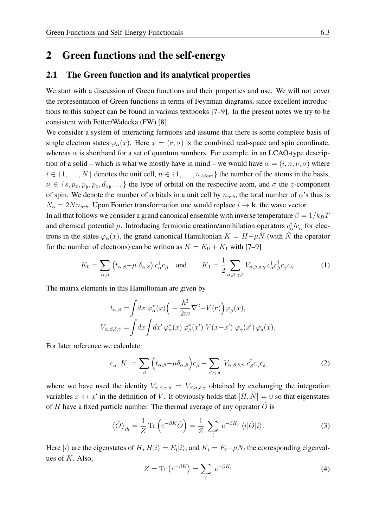### <span id="page-2-0"></span>2 Green functions and the self-energy

#### <span id="page-2-1"></span>2.1 The Green function and its analytical properties

We start with a discussion of Green functions and their properties and use. We will not cover the representation of Green functions in terms of Feynman diagrams, since excellent introductions to this subject can be found in various textbooks [\[7–](#page-27-6)[9\]](#page-27-7). In the present notes we try to be consistent with Fetter/Walecka (FW) [\[8\]](#page-27-8).

We consider a system of interacting fermions and assume that there is some complete basis of single electron states  $\varphi_{\alpha}(x)$ . Here  $x = (\mathbf{r}, \sigma)$  is the combined real-space and spin coordinate, whereas  $\alpha$  is shorthand for a set of quantum numbers. For example, in an LCAO-type description of a solid – which is what we mostly have in mind – we would have  $\alpha = (i, n, \nu, \sigma)$  where  $i \in \{1, \ldots, N\}$  denotes the unit cell,  $n \in \{1, \ldots, n_{Atom}\}$  the number of the atoms in the basis,  $\nu \in \{s, p_x, p_y, p_z, d_{xy} \dots\}$  the type of orbital on the respective atom, and  $\sigma$  the z-component of spin. We denote the number of orbitals in a unit cell by  $n_{orb}$ , the total number of  $\alpha$ 's thus is  $N_{\alpha} = 2Nn_{orb}$ . Upon Fourier transformation one would replace  $i \rightarrow \mathbf{k}$ , the wave vector.

In all that follows we consider a grand canonical ensemble with inverse temperature  $\beta = 1/k_BT$ and chemical potential  $\mu$ . Introducing fermionic creation/annihilation operators  $c_{\alpha}^{\dagger}/c_{\alpha}$  for electrons in the states  $\varphi_{\alpha}(x)$ , the grand canonical Hamiltonian  $K = H - \mu N$  (with N<sup>†</sup> the operator for the number of electrons) can be written as  $K = K_0 + K_1$  with [\[7](#page-27-6)[–9\]](#page-27-7)

<span id="page-2-4"></span>
$$
K_0 = \sum_{\alpha,\beta} \left( t_{\alpha,\beta} - \mu \, \delta_{\alpha,\beta} \right) c_{\alpha}^{\dagger} c_{\beta} \quad \text{and} \quad K_1 = \frac{1}{2} \sum_{\alpha,\beta,\gamma,\delta} V_{\alpha,\beta,\delta,\gamma} c_{\alpha}^{\dagger} c_{\beta}^{\dagger} c_{\gamma} c_{\delta}. \tag{1}
$$

The matrix elements in this Hamiltonian are given by

$$
t_{\alpha,\beta} = \int dx \; \varphi_{\alpha}^*(x) \Big( - \frac{\hbar^2}{2m} \nabla^2 + V(\mathbf{r}) \Big) \varphi_{\beta}(x),
$$
  

$$
V_{\alpha,\beta,\delta,\gamma} = \int dx \int dx' \; \varphi_{\alpha}^*(x) \; \varphi_{\beta}^*(x') \; V(x - x') \; \varphi_{\gamma}(x') \; \varphi_{\delta}(x).
$$

For later reference we calculate

<span id="page-2-3"></span>
$$
[c_{\alpha}, K] = \sum_{\beta} \left( t_{\alpha,\beta} - \mu \delta_{\alpha,\beta} \right) c_{\beta} + \sum_{\beta,\gamma,\delta} V_{\alpha,\beta,\delta,\gamma} c_{\beta}^{\dagger} c_{\gamma} c_{\delta}, \tag{2}
$$

where we have used the identity  $V_{\alpha,\beta,\gamma,\delta} = V_{\beta,\alpha,\delta,\gamma}$  obtained by exchanging the integration variables  $x \leftrightarrow x'$  in the definition of V. It obviously holds that  $[H, \hat{N}] = 0$  so that eigenstates of H have a fixed particle number. The thermal average of any operator  $\hat{O}$  is

<span id="page-2-2"></span>
$$
\langle \hat{O} \rangle_{th} = \frac{1}{Z} \operatorname{Tr} \left( e^{-\beta K} \hat{O} \right) = \frac{1}{Z} \sum_{i} e^{-\beta K_{i}} \langle i | \hat{O} | i \rangle. \tag{3}
$$

Here  $|i\rangle$  are the eigenstates of H,  $H|i\rangle = E_i|i\rangle$ , and  $K_i = E_i - \mu N_i$  the corresponding eigenvalues of  $K$ . Also,

<span id="page-2-5"></span>
$$
Z = \text{Tr}\left(e^{-\beta K}\right) = \sum_{i} e^{-\beta K_{i}} \tag{4}
$$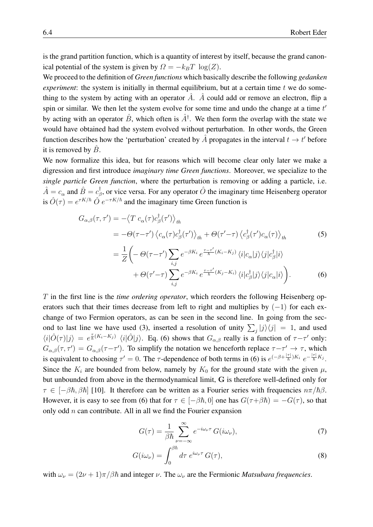is the grand partition function, which is a quantity of interest by itself, because the grand canonical potential of the system is given by  $\Omega = -k_BT \log(Z)$ .

We proceed to the definition of *Green functions* which basically describe the following *gedanken experiment*: the system is initially in thermal equilibrium, but at a certain time t we do something to the system by acting with an operator  $\hat{A}$ .  $\hat{A}$  could add or remove an electron, flip a spin or similar. We then let the system evolve for some time and undo the change at a time  $t'$ by acting with an operator  $\hat{B}$ , which often is  $\hat{A}^{\dagger}$ . We then form the overlap with the state we would have obtained had the system evolved without perturbation. In other words, the Green function describes how the 'perturbation' created by  $\hat{A}$  propagates in the interval  $t \to t'$  before it is removed by  $\ddot{B}$ .

We now formalize this idea, but for reasons which will become clear only later we make a digression and first introduce *imaginary time Green functions*. Moreover, we specialize to the *single particle Green function*, where the perturbation is removing or adding a particle, i.e.  $\hat{A} = c_{\alpha}$  and  $\hat{B} = c_{\beta}^{\dagger}$  $\phi^{\dagger}_{\beta}$ , or vice versa. For any operator  $\hat{O}$  the imaginary time Heisenberg operator is  $\hat{O}(\tau) = e^{\tau K/\hbar} \hat{O} e^{-\tau K/\hbar}$  and the imaginary time Green function is

$$
G_{\alpha,\beta}(\tau,\tau') = -\langle T c_{\alpha}(\tau)c_{\beta}^{\dagger}(\tau') \rangle_{th}
$$
  
\n
$$
= -\Theta(\tau-\tau') \langle c_{\alpha}(\tau)c_{\beta}^{\dagger}(\tau') \rangle_{th} + \Theta(\tau'-\tau) \langle c_{\beta}^{\dagger}(\tau')c_{\alpha}(\tau) \rangle_{th}
$$
\n(5)  
\n
$$
= \frac{1}{7} \Big( -\Theta(\tau-\tau') \sum e^{-\beta K_{i}} e^{\frac{\tau-\tau'}{\hbar} (K_{i}-K_{j})} \langle i|c_{\alpha}|j \rangle \langle j|c_{\beta}^{\dagger}|i \rangle
$$

<span id="page-3-2"></span><span id="page-3-0"></span>
$$
\overline{Z}\left(-\frac{\Theta(\tau-\tau)}{i,j} \sum_{i,j} e^{-\beta K_i} e^{-\hbar^{(K_i - K_i)}} \langle i|c_{\alpha}|j\rangle \langle j|c_{\beta}|i\rangle + \Theta(\tau'-\tau) \sum_{i,j} e^{-\beta K_i} e^{\frac{\tau-\tau'}{\hbar} (K_j - K_i)} \langle i|c_{\beta}^{\dagger}|j\rangle \langle j|c_{\alpha}|i\rangle \right).
$$
(6)

T in the first line is the *time ordering operator*, which reorders the following Heisenberg operators such that their times decrease from left to right and multiplies by  $(-1)$  for each exchange of two Fermion operators, as can be seen in the second line. In going from the sec-ond to last line we have used [\(3\)](#page-2-2), inserted a resolution of unity  $\sum_j |j\rangle\langle j| = 1$ , and used  $\langle i|\hat{O}(\tau)|j\rangle = e^{\frac{\tau}{\hbar}(K_i-K_j)} \langle i|\hat{O}|j\rangle$ . Eq. [\(6\)](#page-3-0) shows that  $G_{\alpha,\beta}$  really is a function of  $\tau-\tau'$  only:  $G_{\alpha,\beta}(\tau,\tau') = G_{\alpha,\beta}(\tau-\tau')$ . To simplify the notation we henceforth replace  $\tau-\tau' \to \tau$ , which is equivalent to choosing  $\tau' = 0$ . The  $\tau$ -dependence of both terms in [\(6\)](#page-3-0) is  $e^{(-\beta + \frac{|\tau|}{\hbar})K_i} e^{-\frac{|\tau|}{\hbar}K_j}$ . Since the  $K_i$  are bounded from below, namely by  $K_0$  for the ground state with the given  $\mu$ , but unbounded from above in the thermodynamical limit, G is therefore well-defined only for  $\tau \in [-\beta \hbar, \beta \hbar]$  [\[10\]](#page-27-9). It therefore can be written as a Fourier series with frequencies  $n\pi/\hbar \beta$ . However, it is easy to see from [\(6\)](#page-3-0) that for  $\tau \in [-\beta \hbar, 0]$  one has  $G(\tau + \beta \hbar) = -G(\tau)$ , so that only odd  $n$  can contribute. All in all we find the Fourier expansion

<span id="page-3-3"></span><span id="page-3-1"></span>
$$
G(\tau) = \frac{1}{\beta \hbar} \sum_{\nu = -\infty}^{\infty} e^{-i\omega_{\nu}\tau} G(i\omega_{\nu}),
$$
 (7)

$$
G(i\omega_{\nu}) = \int_0^{\beta \hbar} d\tau \ e^{i\omega_{\nu}\tau} G(\tau), \tag{8}
$$

with  $\omega_{\nu} = (2\nu + 1)\pi/\beta\hbar$  and integer  $\nu$ . The  $\omega_{\nu}$  are the Fermionic *Matsubara frequencies*.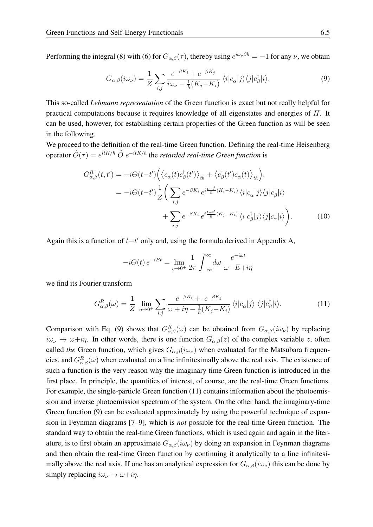Performing the integral [\(8\)](#page-3-1) with [\(6\)](#page-3-0) for  $G_{\alpha,\beta}(\tau)$ , thereby using  $e^{i\omega_{\nu}\beta\hbar} = -1$  for any  $\nu$ , we obtain

<span id="page-4-0"></span>
$$
G_{\alpha,\beta}(i\omega_{\nu}) = \frac{1}{Z} \sum_{i,j} \frac{e^{-\beta K_i} + e^{-\beta K_j}}{i\omega_{\nu} - \frac{1}{\hbar}(K_j - K_i)} \langle i|c_{\alpha}|j\rangle\langle j|c_{\beta}^{\dagger}|i\rangle.
$$
 (9)

This so-called *Lehmann representation* of the Green function is exact but not really helpful for practical computations because it requires knowledge of all eigenstates and energies of H. It can be used, however, for establishing certain properties of the Green function as will be seen in the following.

We proceed to the definition of the real-time Green function. Defining the real-time Heisenberg operator  $\hat{O}(\tau) = e^{itK/\hbar} \hat{O} e^{-itK/\hbar}$  the *retarded real-time Green function* is

$$
G_{\alpha,\beta}^{R}(t,t') = -i\Theta(t-t') \Big( \langle c_{\alpha}(t)c_{\beta}^{\dagger}(t') \rangle_{th} + \langle c_{\beta}^{\dagger}(t')c_{\alpha}(t) \rangle_{th} \Big),
$$
  

$$
= -i\Theta(t-t') \frac{1}{Z} \Big( \sum_{i,j} e^{-\beta K_{i}} e^{i\frac{t-t'}{\hbar} (K_{i} - K_{j})} \langle i|c_{\alpha}|j\rangle \langle j|c_{\beta}^{\dagger}|i\rangle
$$
  

$$
+ \sum_{i,j} e^{-\beta K_{i}} e^{i\frac{t-t'}{\hbar} (K_{j} - K_{i})} \langle i|c_{\beta}^{\dagger}|j\rangle \langle j|c_{\alpha}|i\rangle \Big).
$$
 (10)

Again this is a function of  $t-t'$  only and, using the formula derived in Appendix A,

$$
-i\Theta(t) e^{-iEt} = \lim_{\eta \to 0^+} \frac{1}{2\pi} \int_{-\infty}^{\infty} d\omega \frac{e^{-i\omega t}}{\omega - E + i\eta}
$$

we find its Fourier transform

<span id="page-4-1"></span>
$$
G_{\alpha,\beta}^{R}(\omega) = \frac{1}{Z} \lim_{\eta \to 0^{+}} \sum_{i,j} \frac{e^{-\beta K_{i}} + e^{-\beta K_{j}}}{\omega + i\eta - \frac{1}{\hbar}(K_{j} - K_{i})} \langle i|c_{\alpha}|j\rangle \langle j|c_{\beta}^{\dagger}|i\rangle.
$$
 (11)

Comparison with Eq. [\(9\)](#page-4-0) shows that  $G_{\alpha,\beta}^{R}(\omega)$  can be obtained from  $G_{\alpha,\beta}(i\omega_{\nu})$  by replacing  $i\omega_{\nu} \to \omega + i\eta$ . In other words, there is one function  $G_{\alpha,\beta}(z)$  of the complex variable z, often called *the* Green function, which gives  $G_{\alpha,\beta}(i\omega_{\nu})$  when evaluated for the Matsubara frequencies, and  $G_{\alpha,\beta}^R(\omega)$  when evaluated on a line infinitesimally above the real axis. The existence of such a function is the very reason why the imaginary time Green function is introduced in the first place. In principle, the quantities of interest, of course, are the real-time Green functions. For example, the single-particle Green function [\(11\)](#page-4-1) contains information about the photoemission and inverse photoemission spectrum of the system. On the other hand, the imaginary-time Green function [\(9\)](#page-4-0) can be evaluated approximately by using the powerful technique of expansion in Feynman diagrams [\[7–](#page-27-6)[9\]](#page-27-7), which is *not* possible for the real-time Green function. The standard way to obtain the real-time Green functions, which is used again and again in the literature, is to first obtain an approximate  $G_{\alpha,\beta}(i\omega_{\nu})$  by doing an expansion in Feynman diagrams and then obtain the real-time Green function by continuing it analytically to a line infinitesimally above the real axis. If one has an analytical expression for  $G_{\alpha,\beta}(i\omega_{\nu})$  this can be done by simply replacing  $i\omega_{\nu} \rightarrow \omega + i\eta$ .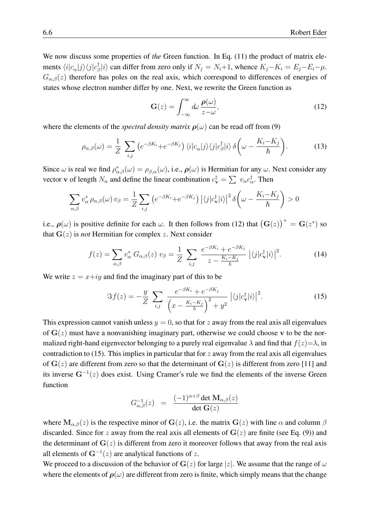We now discuss some properties of *the* Green function. In Eq. [\(11\)](#page-4-1) the product of matrix elements  $\langle i|c_\alpha|j\rangle\langle j|c_{\beta}^{\dagger}$  $\binom{[i]}{[i]}$  can differ from zero only if  $N_j = N_i+1$ , whence  $K_j - K_i = E_j - E_i - \mu$ .  $G_{\alpha,\beta}(z)$  therefore has poles on the real axis, which correspond to differences of energies of states whose electron number differ by one. Next, we rewrite the Green function as

<span id="page-5-0"></span>
$$
\mathbf{G}(z) = \int_{-\infty}^{\infty} d\omega \, \frac{\boldsymbol{\rho}(\omega)}{z - \omega},\tag{12}
$$

where the elements of the *spectral density matrix*  $\rho(\omega)$  can be read off from [\(9\)](#page-4-0)

$$
\rho_{\alpha,\beta}(\omega) = \frac{1}{Z} \sum_{i,j} \left( e^{-\beta K_i} + e^{-\beta K_j} \right) \langle i | c_{\alpha} | j \rangle \langle j | c_{\beta}^{\dagger} | i \rangle \delta \left( \omega - \frac{K_i - K_j}{\hbar} \right). \tag{13}
$$

Since  $\omega$  is real we find  $\rho_{\alpha,\beta}^*(\omega) = \rho_{\beta,\alpha}(\omega)$ , i.e.,  $\rho(\omega)$  is Hermitian for any  $\omega$ . Next consider any vector v of length  $N_{\alpha}$  and define the linear combination  $c_{\mathbf{v}}^{\dagger} = \sum v_{\alpha} c_{\alpha}^{\dagger}$ . Then

$$
\sum_{\alpha,\beta} v_{\alpha}^* \rho_{\alpha,\beta}(\omega) v_{\beta} = \frac{1}{Z} \sum_{i,j} \left( e^{-\beta K_i} + e^{-\beta K_j} \right) \left| \langle j | c_{\mathbf{v}}^{\dagger} | i \rangle \right|^2 \delta \left( \omega - \frac{K_i - K_j}{\hbar} \right) > 0
$$

i.e.,  $\rho(\omega)$  is positive definite for each  $\omega$ . It then follows from [\(12\)](#page-5-0) that  $(\mathbf{G}(z))^+ = \mathbf{G}(z^*)$  so that  $G(z)$  is *not* Hermitian for complex z. Next consider

$$
f(z) = \sum_{\alpha,\beta} v_{\alpha}^* G_{\alpha,\beta}(z) v_{\beta} = \frac{1}{Z} \sum_{i,j} \frac{e^{-\beta K_i} + e^{-\beta K_j}}{z - \frac{K_i - K_j}{\hbar}} \left| \langle j | c_{\mathbf{v}}^{\dagger} | i \rangle \right|^2.
$$
 (14)

We write  $z = x+iy$  and find the imaginary part of this to be

<span id="page-5-1"></span>
$$
\Im f(z) = -\frac{y}{Z} \sum_{i,j} \frac{e^{-\beta K_i} + e^{-\beta K_j}}{\left(x - \frac{K_i - K_j}{\hbar}\right)^2 + y^2} \left| \langle j | c_{\mathbf{v}}^{\dagger} | i \rangle \right|^2. \tag{15}
$$

This expression cannot vanish unless  $y = 0$ , so that for z away from the real axis all eigenvalues of  $G(z)$  must have a nonvanishing imaginary part, otherwise we could choose v to be the normalized right-hand eigenvector belonging to a purely real eigenvalue  $\lambda$  and find that  $f(z)=\lambda$ , in contradiction to [\(15\)](#page-5-1). This implies in particular that for  $z$  away from the real axis all eigenvalues of  $G(z)$  are different from zero so that the determinant of  $G(z)$  is different from zero [\[11\]](#page-27-10) and its inverse  $G^{-1}(z)$  does exist. Using Cramer's rule we find the elements of the inverse Green function

$$
G^{-1}_{\alpha,\beta}(z)\;\;=\;\;\frac{(-1)^{\alpha+\beta}\det \mathbf{M}_{\alpha,\beta}(z)}{\det \mathbf{G}(z)}
$$

where  $M_{\alpha,\beta}(z)$  is the respective minor of  $G(z)$ , i.e. the matrix  $G(z)$  with line  $\alpha$  and column  $\beta$ discarded. Since for z away from the real axis all elements of  $G(z)$  are finite (see Eq. [\(9\)](#page-4-0)) and the determinant of  $G(z)$  is different from zero it moreover follows that away from the real axis all elements of  $G^{-1}(z)$  are analytical functions of z.

We proceed to a discussion of the behavior of G(z) for large |z|. We assume that the range of  $\omega$ where the elements of  $\rho(\omega)$  are different from zero is finite, which simply means that the change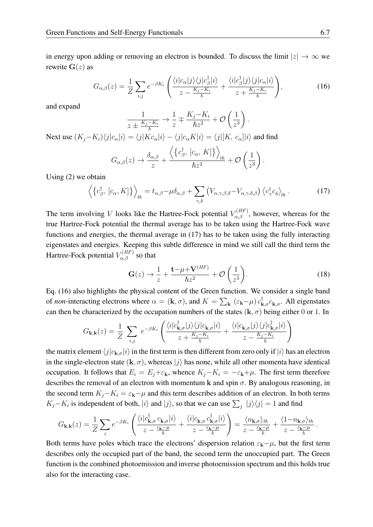in energy upon adding or removing an electron is bounded. To discuss the limit  $|z| \to \infty$  we rewrite  $G(z)$  as

<span id="page-6-1"></span>
$$
G_{\alpha,\beta}(z) = \frac{1}{Z} \sum_{i,j} e^{-\beta K_i} \left( \frac{\langle i | c_{\alpha} | j \rangle \langle j | c_{\beta}^{\dagger} | i \rangle}{z - \frac{K_j - K_i}{\hbar}} + \frac{\langle i | c_{\beta}^{\dagger} | j \rangle \langle j | c_{\alpha} | i \rangle}{z + \frac{K_j - K_i}{\hbar}} \right),\tag{16}
$$

and expand

$$
\frac{1}{z \pm \frac{K_j - K_i}{\hbar}} \to \frac{1}{z} \mp \frac{K_j - K_i}{\hbar z^2} + \mathcal{O}\left(\frac{1}{z^3}\right).
$$

Next use  $(K_j-K_i)\langle j|c_\alpha|i\rangle = \langle j|Kc_\alpha|i\rangle - \langle j|c_\alpha K|i\rangle = \langle j|[K, c_\alpha]|i\rangle$  and find

$$
G_{\alpha,\beta}(z) \to \frac{\delta_{\alpha,\beta}}{z} + \frac{\left\langle \left\{c_{\beta}^{\dagger}, [c_{\alpha}, K] \right\} \right\rangle_{th}}{\hbar z^2} + \mathcal{O}\left(\frac{1}{z^3}\right).
$$

Using [\(2\)](#page-2-3) we obtain

<span id="page-6-0"></span>
$$
\left\langle \left\{ c_{\beta}^{\dagger}, \left[ c_{\alpha}, K \right] \right\} \right\rangle_{th} = t_{\alpha, \beta} - \mu \delta_{\alpha, \beta} + \sum_{\gamma, \delta} \left( V_{\alpha, \gamma, \beta, \delta} - V_{\alpha, \gamma, \delta, \beta} \right) \left\langle c_{\gamma}^{\dagger} c_{\delta} \right\rangle_{th} . \tag{17}
$$

The term involving V looks like the Hartree-Fock potential  $V_{\alpha,\beta}^{(HF)}$ , however, whereas for the true Hartree-Fock potential the thermal average has to be taken using the Hartree-Fock wave functions and energies, the thermal average in [\(17\)](#page-6-0) has to be taken using the fully interacting eigenstates and energies. Keeping this subtle difference in mind we still call the third term the Hartree-Fock potential  $V_{\alpha,\beta}^{(HF)}$  so that

<span id="page-6-2"></span>
$$
\mathbf{G}(z) \to \frac{1}{z} + \frac{\mathbf{t} - \mu + \mathbf{V}^{(HF)}}{\hbar z^2} + \mathcal{O}\left(\frac{1}{z^3}\right). \tag{18}
$$

Eq. [\(16\)](#page-6-1) also highlights the physical content of the Green function. We consider a single band of *non*-interacting electrons where  $\alpha = (\mathbf{k}, \sigma)$ , and  $K = \sum_{\mathbf{k}} (\varepsilon_{\mathbf{k}} - \mu) c_{\mathbf{k}, \sigma}^{\dagger} c_{\mathbf{k}, \sigma}$ . All eigenstates can then be characterized by the occupation numbers of the states  $(k, \sigma)$  being either 0 or 1. In

$$
G_{\mathbf{k},\mathbf{k}}(z) = \frac{1}{Z} \sum_{i,j} e^{-\beta K_i} \left( \frac{\langle i | c_{\mathbf{k},\sigma}^{\dagger} | j \rangle \langle j | c_{\mathbf{k},\sigma} | i \rangle}{z + \frac{K_j - K_i}{\hbar}} + \frac{\langle i | c_{\mathbf{k},\sigma} | j \rangle \langle j | c_{\mathbf{k},\sigma}^{\dagger} | i \rangle}{z - \frac{K_j - K_i}{\hbar}} \right)
$$

the matrix element  $\langle j|c_{\mathbf{k},\sigma}|i\rangle$  in the first term is then different from zero only if  $|i\rangle$  has an electron in the single-electron state  $(k, \sigma)$ , whereas  $|j\rangle$  has none, while all other momenta have identical occupation. It follows that  $E_i = E_j + \varepsilon_k$ , whence  $K_j - K_i = -\varepsilon_k + \mu$ . The first term therefore describes the removal of an electron with momentum k and spin  $\sigma$ . By analogous reasoning, in the second term  $K_i - K_i = \varepsilon_{\mathbf{k}} - \mu$  and this term describes addition of an electron. In both terms  $K_j - K_i$  is independent of both,  $|i\rangle$  and  $|j\rangle$ , so that we can use  $\sum_j |j\rangle\langle j| = 1$  and find

$$
G_{\mathbf{k},\mathbf{k}}(z) = \frac{1}{Z} \sum_{i} e^{-\beta K_{i}} \left( \frac{\langle i | c_{\mathbf{k},\sigma}^{\dagger} c_{\mathbf{k},\sigma} | i \rangle}{z - \frac{\varepsilon_{\mathbf{k}} - \mu}{\hbar}} + \frac{\langle i | c_{\mathbf{k},\sigma} c_{\mathbf{k},\sigma}^{\dagger} | i \rangle}{z - \frac{\varepsilon_{\mathbf{k}} - \mu}{\hbar}} \right) = \frac{\langle n_{\mathbf{k},\sigma} \rangle_{th}}{z - \frac{\varepsilon_{\mathbf{k}} - \mu}{\hbar}} + \frac{\langle 1 - n_{\mathbf{k},\sigma} \rangle_{th}}{z - \frac{\varepsilon_{\mathbf{k}} - \mu}{\hbar}}.
$$

Both terms have poles which trace the electrons' dispersion relation  $\varepsilon_k-\mu$ , but the first term describes only the occupied part of the band, the second term the unoccupied part. The Green function is the combined photoemission and inverse photoemission spectrum and this holds true also for the interacting case.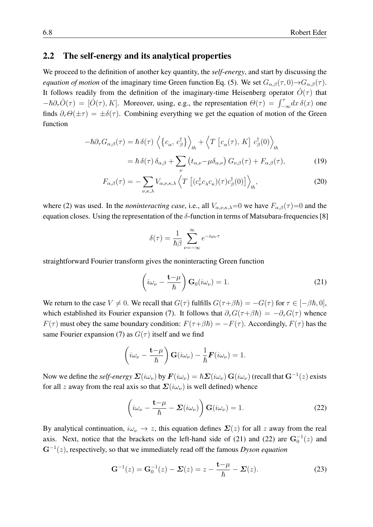### <span id="page-7-0"></span>2.2 The self-energy and its analytical properties

We proceed to the definition of another key quantity, the *self-energy*, and start by discussing the *equation of motion* of the imaginary time Green function Eq. [\(5\)](#page-3-2). We set  $G_{\alpha,\beta}(\tau,0) \rightarrow G_{\alpha,\beta}(\tau)$ . It follows readily from the definition of the imaginary-time Heisenberg operator  $\hat{O}(\tau)$  that  $-\hbar\partial_{\tau}\hat{O}(\tau) = [\hat{O}(\tau), K]$ . Moreover, using, e.g., the representation  $\Theta(\tau) = \int_{-\infty}^{\tau} dx \,\delta(x)$  one finds  $\partial_{\tau}\Theta(\pm\tau) = \pm \delta(\tau)$ . Combining everything we get the equation of motion of the Green function

$$
-\hbar \partial_{\tau} G_{\alpha,\beta}(\tau) = \hbar \delta(\tau) \left\langle \left\{ c_{\alpha}, c_{\beta}^{\dagger} \right\} \right\rangle_{th} + \left\langle T \left[ c_{\alpha}(\tau), K \right] c_{\beta}^{\dagger}(0) \right\rangle_{th}
$$

$$
= \hbar \delta(\tau) \delta_{\alpha,\beta} + \sum_{\nu} \left( t_{\alpha,\nu} - \mu \delta_{\alpha,\nu} \right) G_{\nu,\beta}(\tau) + F_{\alpha,\beta}(\tau), \tag{19}
$$

$$
F_{\alpha,\beta}(\tau) = -\sum_{\nu,\kappa,\lambda} V_{\alpha,\nu,\kappa,\lambda} \left\langle T \left[ (c_{\nu}^{\dagger} c_{\lambda} c_{\kappa})(\tau) c_{\beta}^{\dagger}(0) \right] \right\rangle_{th},\tag{20}
$$

where [\(2\)](#page-2-3) was used. In the *noninteracting case*, i.e., all  $V_{\alpha,\nu,\kappa,\lambda}=0$  we have  $F_{\alpha,\beta}(\tau)=0$  and the equation closes. Using the representation of the  $\delta$ -function in terms of Matsubara-frequencies [\[8\]](#page-27-8)

<span id="page-7-3"></span>
$$
\delta(\tau) = \frac{1}{\hbar \beta} \sum_{\nu = -\infty}^{\infty} e^{-i\omega_{\nu}\tau}
$$

straightforward Fourier transform gives the noninteracting Green function

<span id="page-7-1"></span>
$$
\left(i\omega_{\nu} - \frac{\mathbf{t} - \mu}{\hbar}\right) \mathbf{G}_0(i\omega_{\nu}) = 1.
$$
 (21)

We return to the case  $V \neq 0$ . We recall that  $G(\tau)$  fulfills  $G(\tau+\beta\hbar) = -G(\tau)$  for  $\tau \in [-\beta\hbar, 0]$ , which established its Fourier expansion [\(7\)](#page-3-3). It follows that  $\partial_{\tau}G(\tau+\beta\hbar) = -\partial_{\tau}G(\tau)$  whence  $F(\tau)$  must obey the same boundary condition:  $F(\tau+\beta\hbar) = -F(\tau)$ . Accordingly,  $F(\tau)$  has the same Fourier expansion [\(7\)](#page-3-3) as  $G(\tau)$  itself and we find

$$
\left(i\omega_{\nu} - \frac{\mathbf{t} - \mu}{\hbar}\right) \mathbf{G}(i\omega_{\nu}) - \frac{1}{\hbar} \mathbf{F}(i\omega_{\nu}) = 1.
$$

Now we define the *self-energy*  $\mathbf{\Sigma}(i\omega_\nu)$  by  $\mathbf{F}(i\omega_\nu) = \hbar \mathbf{\Sigma}(i\omega_\nu) \mathbf{G}(i\omega_\nu)$  (recall that  $\mathbf{G}^{-1}(z)$  exists for all z away from the real axis so that  $\Sigma(i\omega_{\nu})$  is well defined) whence

<span id="page-7-2"></span>
$$
\left(i\omega_{\nu} - \frac{\mathbf{t} - \mu}{\hbar} - \Sigma(i\omega_{\nu})\right) \mathbf{G}(i\omega_{\nu}) = 1.
$$
 (22)

By analytical continuation,  $i\omega_{\nu} \to z$ , this equation defines  $\Sigma(z)$  for all z away from the real axis. Next, notice that the brackets on the left-hand side of [\(21\)](#page-7-1) and [\(22\)](#page-7-2) are  $G_0^{-1}(z)$  and G<sup>−</sup><sup>1</sup> (z), respectively, so that we immediately read off the famous *Dyson equation*

<span id="page-7-4"></span>
$$
\mathbf{G}^{-1}(z) = \mathbf{G}_0^{-1}(z) - \Sigma(z) = z - \frac{\mathbf{t} - \mu}{\hbar} - \Sigma(z). \tag{23}
$$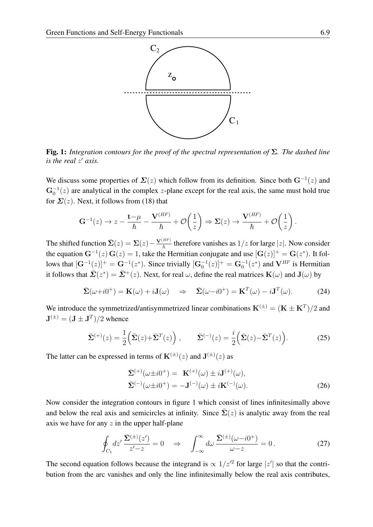

<span id="page-8-0"></span>Fig. 1: *Integration contours for the proof of the spectral representation of* Σ*. The dashed line is the real z' axis.* 

We discuss some properties of  $\Sigma(z)$  which follow from its definition. Since both  $G^{-1}(z)$  and  $G_0^{-1}(z)$  are analytical in the complex z-plane except for the real axis, the same must hold true for  $\Sigma(z)$ . Next, it follows from [\(18\)](#page-6-2) that

$$
\mathbf{G}^{-1}(z) \to z - \frac{\mathbf{t} - \mu}{\hbar} - \frac{\mathbf{V}^{(HF)}}{\hbar} + \mathcal{O}\left(\frac{1}{z}\right) \Rightarrow \Sigma(z) \to \frac{\mathbf{V}^{(HF)}}{\hbar} + \mathcal{O}\left(\frac{1}{z}\right).
$$

The shifted function  $\bar{\Sigma}(z) = \Sigma(z) - \frac{\mathbf{V}^{(HF)}}{\hbar}$  therefore vanishes as  $1/z$  for large  $|z|$ . Now consider the equation  $G^{-1}(z) G(z) = 1$ , take the Hermitian conjugate and use  $[G(z)]^+ = G(z^*)$ . It follows that  $[G^{-1}(z)]^+ = G^{-1}(z^*)$ . Since trivially  $[G_0^{-1}(z)]^+ = G_0^{-1}(z^*)$  and  $V^{HF}$  is Hermitian it follows that  $\bar{\mathbf{\Sigma}}(z^*) = \bar{\mathbf{\Sigma}}^+(z)$ . Next, for real  $\omega$ , define the real matrices  $\mathbf{K}(\omega)$  and  $\mathbf{J}(\omega)$  by

$$
\bar{\mathbf{\Sigma}}(\omega + i0^{+}) = \mathbf{K}(\omega) + i\mathbf{J}(\omega) \quad \Rightarrow \quad \bar{\mathbf{\Sigma}}(\omega - i0^{+}) = \mathbf{K}^{T}(\omega) - i\mathbf{J}^{T}(\omega).
$$
 (24)

We introduce the symmetrized/antisymmetrized linear combinations  $K^{(\pm)} = (K \pm K^{T})/2$  and  $\mathbf{J}^{(\pm)} = (\mathbf{J} \pm \mathbf{J}^T)/2$  whence

<span id="page-8-2"></span>
$$
\bar{\Sigma}^{(+)}(z) = \frac{1}{2} \left( \bar{\Sigma}(z) + \bar{\Sigma}^{T}(z) \right), \qquad \bar{\Sigma}^{(-)}(z) = \frac{i}{2} \left( \bar{\Sigma}(z) - \bar{\Sigma}^{T}(z) \right). \tag{25}
$$

The latter can be expressed in terms of  $\mathbf{K}^{(\pm)}(z)$  and  $\mathbf{J}^{(\pm)}(z)$  as

<span id="page-8-1"></span>
$$
\bar{\Sigma}^{(+)}(\omega \pm i0^{+}) = \mathbf{K}^{(+)}(\omega) \pm i\mathbf{J}^{(+)}(\omega), \n\bar{\Sigma}^{(-)}(\omega \pm i0^{+}) = -\mathbf{J}^{(-)}(\omega) \pm i\mathbf{K}^{(-)}(\omega).
$$
\n(26)

Now consider the integration contours in figure [1](#page-8-0) which consist of lines infinitesimally above and below the real axis and semicircles at infinity. Since  $\Sigma(z)$  is analytic away from the real axis we have for any  $z$  in the upper half-plane

$$
\oint_{C_1} dz' \frac{\bar{\Sigma}^{(\pm)}(z')}{z'-z} = 0 \quad \Rightarrow \quad \int_{-\infty}^{\infty} d\omega \frac{\bar{\Sigma}^{(\pm)}(\omega - i0^+)}{\omega - z} = 0. \tag{27}
$$

The second equation follows because the integrand is  $\propto 1/z'^2$  for large  $|z'|$  so that the contribution from the arc vanishes and only the line infinitesimally below the real axis contributes,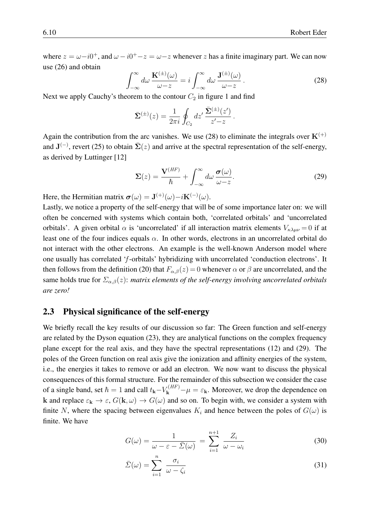where  $z = \omega - i0^+$ , and  $\omega - i0^+ - z = \omega - z$  whenever z has a finite imaginary part. We can now use [\(26\)](#page-8-1) and obtain

<span id="page-9-1"></span>
$$
\int_{-\infty}^{\infty} d\omega \, \frac{\mathbf{K}^{(\pm)}(\omega)}{\omega - z} = i \int_{-\infty}^{\infty} d\omega \, \frac{\mathbf{J}^{(\pm)}(\omega)}{\omega - z} \,. \tag{28}
$$

Next we apply Cauchy's theorem to the contour  $C_2$  in figure [1](#page-8-0) and find

$$
\bar{\mathbf{\Sigma}}^{(\pm)}(z) = \frac{1}{2\pi i} \oint_{C_2} dz' \, \frac{\bar{\mathbf{\Sigma}}^{(\pm)}(z')}{z'-z} \, .
$$

Again the contribution from the arc vanishes. We use [\(28\)](#page-9-1) to eliminate the integrals over  $K^{(+)}$ and  $J^{(-)}$ , revert [\(25\)](#page-8-2) to obtain  $\bar{\Sigma}(z)$  and arrive at the spectral representation of the self-energy, as derived by Luttinger [\[12\]](#page-27-11)

<span id="page-9-2"></span>
$$
\Sigma(z) = \frac{\mathbf{V}^{(HF)}}{\hbar} + \int_{-\infty}^{\infty} d\omega \, \frac{\boldsymbol{\sigma}(\omega)}{\omega - z}.
$$
 (29)

Here, the Hermitian matrix  $\boldsymbol{\sigma}(\omega) = \mathbf{J}^{(+)}(\omega) - i\mathbf{K}^{(-)}(\omega)$ .

Lastly, we notice a property of the self-energy that will be of some importance later on: we will often be concerned with systems which contain both, 'correlated orbitals' and 'uncorrelated orbitals'. A given orbital  $\alpha$  is 'uncorrelated' if all interaction matrix elements  $V_{\kappa\lambda\mu\nu} = 0$  if at least one of the four indices equals  $\alpha$ . In other words, electrons in an uncorrelated orbital do not interact with the other electrons. An example is the well-known Anderson model where one usually has correlated 'f-orbitals' hybridizing with uncorrelated 'conduction electrons'. It then follows from the definition [\(20\)](#page-7-3) that  $F_{\alpha,\beta}(z) = 0$  whenever  $\alpha$  or  $\beta$  are uncorrelated, and the same holds true for  $\Sigma_{\alpha,\beta}(z)$ : *matrix elements of the self-energy involving uncorrelated orbitals are zero!*

### <span id="page-9-0"></span>2.3 Physical significance of the self-energy

We briefly recall the key results of our discussion so far: The Green function and self-energy are related by the Dyson equation [\(23\)](#page-7-4), they are analytical functions on the complex frequency plane except for the real axis, and they have the spectral representations [\(12\)](#page-5-0) and [\(29\)](#page-9-2). The poles of the Green function on real axis give the ionization and affinity energies of the system, i.e., the energies it takes to remove or add an electron. We now want to discuss the physical consequences of this formal structure. For the remainder of this subsection we consider the case of a single band, set  $\hbar = 1$  and call  $t_{\bf k} - V_{\bf k}^{(HF)} - \mu = \varepsilon_{\bf k}$ . Moreover, we drop the dependence on k and replace  $\varepsilon_k \to \varepsilon$ ,  $G(k,\omega) \to G(\omega)$  and so on. To begin with, we consider a system with finite N, where the spacing between eigenvalues  $K_i$  and hence between the poles of  $G(\omega)$  is finite. We have

<span id="page-9-3"></span>
$$
G(\omega) = \frac{1}{\omega - \varepsilon - \bar{\Sigma}(\omega)} = \sum_{i=1}^{n+1} \frac{Z_i}{\omega - \omega_i}
$$
(30)

<span id="page-9-4"></span>
$$
\bar{\Sigma}(\omega) = \sum_{i=1}^{n} \frac{\sigma_i}{\omega - \zeta_i} \tag{31}
$$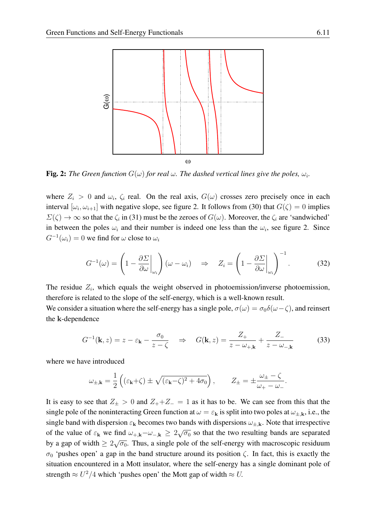

<span id="page-10-0"></span>**Fig. 2:** The Green function  $G(\omega)$  for real  $\omega$ . The dashed vertical lines give the poles,  $\omega_i$ .

where  $Z_i > 0$  and  $\omega_i$ ,  $\zeta_i$  real. On the real axis,  $G(\omega)$  crosses zero precisely once in each interval  $[\omega_i, \omega_{i+1}]$  with negative slope, see figure [2.](#page-10-0) It follows from [\(30\)](#page-9-3) that  $G(\zeta) = 0$  implies  $\Sigma(\zeta) \to \infty$  so that the  $\zeta_i$  in [\(31\)](#page-9-4) must be the zeroes of  $G(\omega)$ . Moreover, the  $\zeta_i$  are 'sandwiched' in between the poles  $\omega_i$  and their number is indeed one less than the  $\omega_i$ , see figure [2.](#page-10-0) Since  $G^{-1}(\omega_i) = 0$  we find for  $\omega$  close to  $\omega_i$ 

<span id="page-10-1"></span>
$$
G^{-1}(\omega) = \left(1 - \frac{\partial \Sigma}{\partial \omega}\bigg|_{\omega_i}\right)(\omega - \omega_i) \quad \Rightarrow \quad Z_i = \left(1 - \frac{\partial \Sigma}{\partial \omega}\bigg|_{\omega_i}\right)^{-1}.\tag{32}
$$

The residue  $Z_i$ , which equals the weight observed in photoemission/inverse photoemission, therefore is related to the slope of the self-energy, which is a well-known result.

We consider a situation where the self-energy has a single pole,  $\sigma(\omega) = \sigma_0 \delta(\omega - \zeta)$ , and reinsert the k-dependence

$$
G^{-1}(\mathbf{k}, z) = z - \varepsilon_{\mathbf{k}} - \frac{\sigma_0}{z - \zeta} \quad \Rightarrow \quad G(\mathbf{k}, z) = \frac{Z_+}{z - \omega_{+,\mathbf{k}}} + \frac{Z_-}{z - \omega_{-,\mathbf{k}}} \tag{33}
$$

where we have introduced

$$
\omega_{\pm,\mathbf{k}} = \frac{1}{2} \left( (\varepsilon_{\mathbf{k}} + \zeta) \pm \sqrt{(\varepsilon_{\mathbf{k}} - \zeta)^2 + 4\sigma_0} \right), \qquad Z_{\pm} = \pm \frac{\omega_{\pm} - \zeta}{\omega_{+} - \omega_{-}}.
$$

It is easy to see that  $Z_{\pm} > 0$  and  $Z_{+} + Z_{-} = 1$  as it has to be. We can see from this that the single pole of the noninteracting Green function at  $\omega = \varepsilon_{\bf k}$  is split into two poles at  $\omega_{\pm, {\bf k}}$ , i.e., the single band with dispersion  $\varepsilon_k$  becomes two bands with dispersions  $\omega_{\pm,k}$ . Note that irrespective of the value of  $\varepsilon_k$  we find  $\omega_{+,k}-\omega_{-,k} \geq 2\sqrt{\sigma_0}$  so that the two resulting bands are separated by a gap of width  $\geq 2\sqrt{\sigma_0}$ . Thus, a single pole of the self-energy with macroscopic residuum  $σ<sub>0</sub>$  'pushes open' a gap in the band structure around its position  $ζ$ . In fact, this is exactly the situation encountered in a Mott insulator, where the self-energy has a single dominant pole of strength  $\approx U^2/4$  which 'pushes open' the Mott gap of width  $\approx U$ .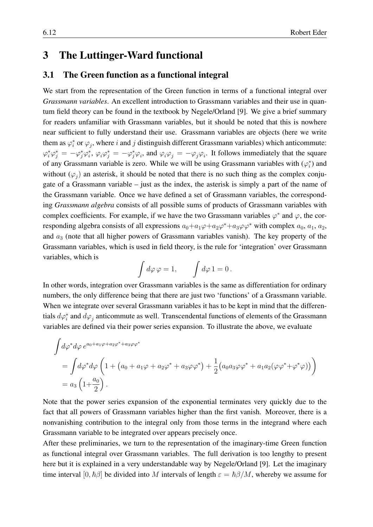### <span id="page-11-0"></span>3 The Luttinger-Ward functional

### <span id="page-11-1"></span>3.1 The Green function as a functional integral

We start from the representation of the Green function in terms of a functional integral over *Grassmann variables*. An excellent introduction to Grassmann variables and their use in quantum field theory can be found in the textbook by Negele/Orland [\[9\]](#page-27-7). We give a brief summary for readers unfamiliar with Grassmann variables, but it should be noted that this is nowhere near sufficient to fully understand their use. Grassmann variables are objects (here we write them as  $\varphi_i^*$  or  $\varphi_j$ , where i and j distinguish different Grassmann variables) which anticommute:  $\varphi_i^* \varphi_j^* = -\varphi_j^* \varphi_i$ ,  $\varphi_i \varphi_j^* = -\varphi_j^* \varphi_i$ , and  $\varphi_i \varphi_j = -\varphi_j \varphi_i$ . It follows immediately that the square of any Grassmann variable is zero. While we will be using Grassmann variables with  $(\varphi_i^*)$  and without  $(\varphi_j)$  an asterisk, it should be noted that there is no such thing as the complex conjugate of a Grassmann variable – just as the index, the asterisk is simply a part of the name of the Grassmann variable. Once we have defined a set of Grassmann variables, the corresponding *Grassmann algebra* consists of all possible sums of products of Grassmann variables with complex coefficients. For example, if we have the two Grassmann variables  $\varphi^*$  and  $\varphi$ , the corresponding algebra consists of all expressions  $a_0 + a_1\varphi + a_2\varphi^* + a_3\varphi\varphi^*$  with complex  $a_0$ ,  $a_1$ ,  $a_2$ , and  $a_3$  (note that all higher powers of Grassmann variables vanish). The key property of the Grassmann variables, which is used in field theory, is the rule for 'integration' over Grassmann variables, which is

$$
\int d\varphi \,\varphi = 1, \qquad \int d\varphi \,1 = 0 \,.
$$

In other words, integration over Grassmann variables is the same as differentiation for ordinary numbers, the only difference being that there are just two 'functions' of a Grassmann variable. When we integrate over several Grassmann variables it has to be kept in mind that the differentials  $d\varphi_i^*$  and  $d\varphi_j$  anticommute as well. Transcendental functions of elements of the Grassmann variables are defined via their power series expansion. To illustrate the above, we evaluate

$$
\int d\varphi^* d\varphi \, e^{a_0 + a_1 \varphi + a_2 \varphi^* + a_3 \varphi \varphi^*}
$$
\n
$$
= \int d\varphi^* d\varphi \left( 1 + (a_0 + a_1 \varphi + a_2 \varphi^* + a_3 \varphi \varphi^*) + \frac{1}{2} (a_0 a_3 \varphi \varphi^* + a_1 a_2 (\varphi \varphi^* + \varphi^* \varphi)) \right)
$$
\n
$$
= a_3 \left( 1 + \frac{a_0}{2} \right).
$$

Note that the power series expansion of the exponential terminates very quickly due to the fact that all powers of Grassmann variables higher than the first vanish. Moreover, there is a nonvanishing contribution to the integral only from those terms in the integrand where each Grassmann variable to be integrated over appears precisely once.

After these preliminaries, we turn to the representation of the imaginary-time Green function as functional integral over Grassmann variables. The full derivation is too lengthy to present here but it is explained in a very understandable way by Negele/Orland [\[9\]](#page-27-7). Let the imaginary time interval  $[0, \hbar \beta]$  be divided into M intervals of length  $\varepsilon = \hbar \beta / M$ , whereby we assume for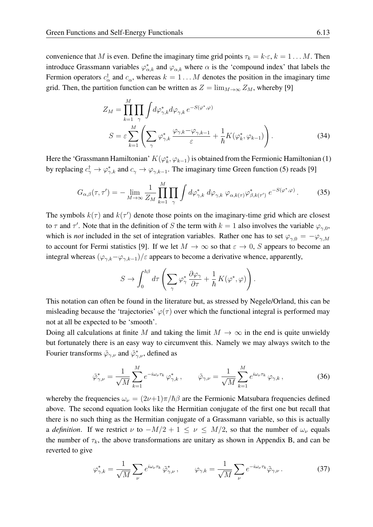convenience that M is even. Define the imaginary time grid points  $\tau_k = k \cdot \varepsilon$ ,  $k = 1 \dots M$ . Then introduce Grassmann variables  $\varphi_{\alpha,k}^*$  and  $\varphi_{\alpha,k}$  where  $\alpha$  is the 'compound index' that labels the Fermion operators  $c_{\alpha}^{\dagger}$  and  $c_{\alpha}$ , whereas  $k = 1...M$  denotes the position in the imaginary time grid. Then, the partition function can be written as  $Z = \lim_{M \to \infty} Z_M$ , whereby [\[9\]](#page-27-7)

<span id="page-12-2"></span>
$$
Z_M = \prod_{k=1}^M \prod_{\gamma} \int d\varphi_{\gamma,k}^* d\varphi_{\gamma,k} e^{-S(\varphi^*,\varphi)}
$$
  

$$
S = \varepsilon \sum_{k=1}^M \left( \sum_{\gamma} \varphi_{\gamma,k}^* \frac{\varphi_{\gamma,k} - \varphi_{\gamma,k-1}}{\varepsilon} + \frac{1}{\hbar} K(\varphi_k^*, \varphi_{k-1}) \right).
$$
 (34)

Here the 'Grassmann Hamiltonian'  $K(\varphi_k^*, \varphi_{k-1})$  is obtained from the Fermionic Hamiltonian [\(1\)](#page-2-4) by replacing  $c^{\dagger}_{\gamma} \to \varphi^*_{\gamma,k}$  and  $c_{\gamma} \to \varphi_{\gamma,k-1}$ . The imaginary time Green function [\(5\)](#page-3-2) reads [\[9\]](#page-27-7)

<span id="page-12-1"></span>
$$
G_{\alpha,\beta}(\tau,\tau') = -\lim_{M \to \infty} \frac{1}{Z_M} \prod_{k=1}^M \prod_{\gamma} \int d\varphi_{\gamma,k}^* \ d\varphi_{\gamma,k} \ \varphi_{\alpha,k(\tau)} \varphi_{\beta,k(\tau')}^* \ e^{-S(\varphi^*,\varphi)}.
$$
 (35)

The symbols  $k(\tau)$  and  $k(\tau')$  denote those points on the imaginary-time grid which are closest to  $\tau$  and  $\tau'$ . Note that in the definition of S the term with  $k = 1$  also involves the variable  $\varphi_{\gamma,0}$ , which is *not* included in the set of integration variables. Rather one has to set  $\varphi_{\gamma,0} = -\varphi_{\gamma,M}$ to account for Fermi statistics [\[9\]](#page-27-7). If we let  $M \to \infty$  so that  $\varepsilon \to 0$ , S appears to become an integral whereas  $(\varphi_{\gamma,k}-\varphi_{\gamma,k-1})/\varepsilon$  appears to become a derivative whence, apparently,

$$
S\to \int_0^{\hbar\beta}d\tau\left(\sum_{\gamma}\varphi_{\gamma}^*\frac{\partial\varphi_{\gamma}}{\partial\tau}+\frac{1}{\hbar}\,K(\varphi^*,\varphi)\right).
$$

This notation can often be found in the literature but, as stressed by Negele/Orland, this can be misleading because the 'trajectories'  $\varphi(\tau)$  over which the functional integral is performed may not at all be expected to be 'smooth'.

Doing all calculations at finite M and taking the limit  $M \to \infty$  in the end is quite unwieldy but fortunately there is an easy way to circumvent this. Namely we may always switch to the Fourier transforms  $\tilde{\varphi}_{\gamma,\nu}$  and  $\tilde{\varphi}_{\gamma,\nu}^*$ , defined as

<span id="page-12-3"></span>
$$
\tilde{\varphi}_{\gamma,\nu}^* = \frac{1}{\sqrt{M}} \sum_{k=1}^M e^{-i\omega_\nu \tau_k} \varphi_{\gamma,k}^*, \qquad \tilde{\varphi}_{\gamma,\nu} = \frac{1}{\sqrt{M}} \sum_{k=1}^M e^{i\omega_\nu \tau_k} \varphi_{\gamma,k}, \qquad (36)
$$

whereby the frequencies  $\omega_{\nu} = (2\nu+1)\pi/\hbar\beta$  are the Fermionic Matsubara frequencies defined above. The second equation looks like the Hermitian conjugate of the first one but recall that there is no such thing as the Hermitian conjugate of a Grassmann variable, so this is actually a *definition*. If we restrict  $\nu$  to  $-M/2 + 1 \leq \nu \leq M/2$ , so that the number of  $\omega_{\nu}$  equals the number of  $\tau_k$ , the above transformations are unitary as shown in Appendix B, and can be reverted to give

<span id="page-12-0"></span>
$$
\varphi_{\gamma,k}^* = \frac{1}{\sqrt{M}} \sum_{\nu} e^{i\omega_{\nu}\tau_k} \tilde{\varphi}_{\gamma,\nu}^*, \qquad \varphi_{\gamma,k} = \frac{1}{\sqrt{M}} \sum_{\nu} e^{-i\omega_{\nu}\tau_k} \tilde{\varphi}_{\gamma,\nu}.
$$
 (37)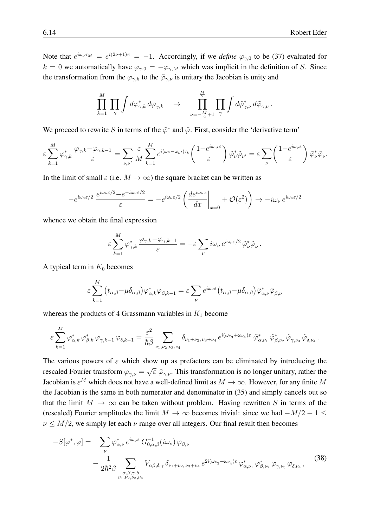Note that  $e^{i\omega_\nu \tau_M} = e^{i(2\nu+1)\pi} = -1$ . Accordingly, if we *define*  $\varphi_{\gamma,0}$  to be [\(37\)](#page-12-0) evaluated for  $k = 0$  we automatically have  $\varphi_{\gamma,0} = -\varphi_{\gamma,M}$  which was implicit in the definition of S. Since the transformation from the  $\varphi_{\gamma,k}$  to the  $\tilde{\varphi}_{\gamma,\nu}$  is unitary the Jacobian is unity and

$$
\prod_{k=1}^M\,\prod_{\gamma}\int d\varphi_{\gamma,k}^*\,d\varphi_{\gamma,k}\quad\to\quad \prod_{\nu=-\frac{M}{2}+1}^{\frac{M}{2}}\,\prod_{\gamma}\int d\tilde\varphi_{\gamma,\nu}^*\,d\tilde\varphi_{\gamma,\nu}\,.
$$

We proceed to rewrite S in terms of the  $\tilde{\varphi}^*$  and  $\tilde{\varphi}$ . First, consider the 'derivative term'

$$
\varepsilon \sum_{k=1}^{M} \varphi_{\gamma,k}^* \, \frac{\varphi_{\gamma,k} - \varphi_{\gamma,k-1}}{\varepsilon} = \sum_{\nu,\nu'} \frac{\varepsilon}{M} \sum_{k=1}^{M} e^{i(\omega_{\nu} - \omega_{\nu'}) \tau_k} \bigg( \frac{1 - e^{i\omega_{\nu'}\varepsilon}}{\varepsilon} \bigg) \, \tilde{\varphi}_{\nu}^* \tilde{\varphi}_{\nu'} = \varepsilon \sum_{\nu} \bigg( \frac{1 - e^{i\omega_{\nu}\varepsilon}}{\varepsilon} \bigg) \, \tilde{\varphi}_{\nu}^* \tilde{\varphi}_{\nu}.
$$

In the limit of small  $\varepsilon$  (i.e.  $M \to \infty$ ) the square bracket can be written as

$$
-e^{i\omega_{\nu}\varepsilon/2}\,\frac{e^{i\omega_{\nu}\varepsilon/2}-e^{-i\omega_{\nu}\varepsilon/2}}{\varepsilon}=-e^{i\omega_{\nu}\varepsilon/2}\left(\frac{de^{i\omega_{\nu}x}}{dx}\bigg|_{x=0}+\mathcal{O}(\varepsilon^2)\right)\to -i\omega_{\nu}\,e^{i\omega_{\nu}\varepsilon/2}
$$

whence we obtain the final expression

$$
\varepsilon \sum_{k=1}^M \varphi_{\gamma,k}^* \, \frac{\varphi_{\gamma,k} - \varphi_{\gamma,k-1}}{\varepsilon} = -\varepsilon \sum_{\nu} i \omega_{\nu} \, e^{i \omega_{\nu} \varepsilon/2} \, \tilde{\varphi}_{\nu}^* \tilde{\varphi}_{\nu} \, .
$$

A typical term in  $K_0$  becomes

$$
\varepsilon \sum_{k=1}^{M} (t_{\alpha,\beta} - \mu \delta_{\alpha,\beta}) \varphi_{\alpha,k}^{*} \varphi_{\beta,k-1} = \varepsilon \sum_{\nu} e^{i\omega_{\nu} \varepsilon} (t_{\alpha,\beta} - \mu \delta_{\alpha,\beta}) \tilde{\varphi}_{\alpha,\nu}^{*} \tilde{\varphi}_{\beta,\nu}
$$

whereas the products of 4 Grassmann variables in  $K_1$  become

$$
\varepsilon \sum_{k=1}^M \varphi^*_{\alpha,k} \, \varphi^*_{\beta,k} \, \varphi_{\gamma,k-1} \, \varphi_{\delta,k-1} = \frac{\varepsilon^2}{\hbar \beta} \sum_{\nu_1,\nu_2,\nu_3,\nu_4} \delta_{\nu_1+\nu_2,\nu_3+\nu_4} \, e^{i(\omega_{\nu_3}+\omega_{\nu_4})\varepsilon} \, \tilde{\varphi}^*_{\alpha,\nu_1} \, \tilde{\varphi}^*_{\beta,\nu_2} \, \tilde{\varphi}_{\gamma,\nu_3} \, \tilde{\varphi}_{\delta,\nu_4} \, .
$$

The various powers of  $\varepsilon$  which show up as prefactors can be eliminated by introducing the rescaled Fourier transform  $\varphi_{\gamma,\nu} =$ √  $\overline{\varepsilon}$   $\tilde{\varphi}_{\gamma,\nu}$ . This transformation is no longer unitary, rather the Jacobian is  $\varepsilon^M$  which does not have a well-defined limit as  $M\to\infty.$  However, for any finite  $M$ the Jacobian is the same in both numerator and denominator in [\(35\)](#page-12-1) and simply cancels out so that the limit  $M \to \infty$  can be taken without problem. Having rewritten S in terms of the (rescaled) Fourier amplitudes the limit  $M \to \infty$  becomes trivial: since we had  $-M/2 + 1 \leq$  $\nu \leq M/2$ , we simply let each  $\nu$  range over all integers. Our final result then becomes

<span id="page-13-0"></span>
$$
-S[\varphi^*, \varphi] = \sum_{\nu} \varphi^*_{\alpha,\nu} e^{i\omega_{\nu}\varepsilon} G^{-1}_{0,\alpha,\beta}(i\omega_{\nu}) \varphi_{\beta,\nu}
$$
  

$$
- \frac{1}{2\hbar^2 \beta} \sum_{\substack{\alpha,\beta,\gamma,\delta\\ \nu_1,\nu_2,\nu_3,\nu_4}} V_{\alpha\beta,\delta,\gamma} \delta_{\nu_1+\nu_2,\nu_3+\nu_4} e^{2i(\omega_{\nu_3}+\omega_{\nu_4})\varepsilon} \varphi^*_{\alpha,\nu_1} \varphi^*_{\beta,\nu_2} \varphi_{\gamma,\nu_3} \varphi_{\delta,\nu_4},
$$
(38)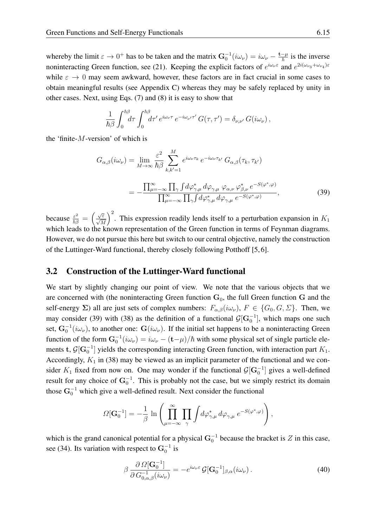whereby the limit  $\varepsilon \to 0^+$  has to be taken and the matrix  $\mathbf{G}_0^{-1}(i\omega_\nu) = i\omega_\nu - \frac{\mathbf{t} - \mu}{\hbar}$  is the inverse noninteracting Green function, see [\(21\)](#page-7-1). Keeping the explicit factors of  $e^{i\omega_\nu \varepsilon}$  and  $e^{2i(\omega_{\nu_3} + \omega_{\nu_4})\varepsilon}$ while  $\varepsilon \to 0$  may seem awkward, however, these factors are in fact crucial in some cases to obtain meaningful results (see Appendix C) whereas they may be safely replaced by unity in other cases. Next, using Eqs. [\(7\)](#page-3-3) and [\(8\)](#page-3-1) it is easy to show that

$$
\frac{1}{\hbar\beta}\int_0^{\hbar\beta} d\tau \int_0^{\hbar\beta} d\tau' e^{i\omega_\nu \tau} e^{-i\omega_{\nu'} \tau'} G(\tau,\tau') = \delta_{\nu,\nu'} G(i\omega_\nu),
$$

the 'finite- $M$ -version' of which is

<span id="page-14-1"></span>
$$
G_{\alpha,\beta}(i\omega_{\nu}) = \lim_{M \to \infty} \frac{\varepsilon^2}{\hbar \beta} \sum_{k,k'=1}^M e^{i\omega_{\nu}\tau_k} e^{-i\omega_{\nu}\tau_{k'}} G_{\alpha,\beta}(\tau_k, \tau_{k'})
$$
  
= 
$$
- \frac{\prod_{\mu=-\infty}^{\infty} \prod_{\gamma} \int d\varphi_{\gamma,\mu}^* d\varphi_{\gamma,\mu} \varphi_{\alpha,\nu} \varphi_{\beta,\nu}^* e^{-S(\varphi^*, \varphi)}}{\prod_{\mu=-\infty}^{\infty} \prod_{\gamma} \int d\varphi_{\gamma,\mu}^* d\varphi_{\gamma,\mu} e^{-S(\varphi^*, \varphi)}},
$$
(39)

because  $\frac{\varepsilon^2}{\hbar \beta} = \left(\frac{\sqrt{\varepsilon}}{\sqrt{M}}\right)$ )<sup>2</sup>. This expression readily lends itself to a perturbation expansion in  $K_1$ which leads to the known representation of the Green function in terms of Feynman diagrams. However, we do not pursue this here but switch to our central objective, namely the construction of the Luttinger-Ward functional, thereby closely following Potthoff [\[5,](#page-27-4) [6\]](#page-27-5).

### <span id="page-14-0"></span>3.2 Construction of the Luttinger-Ward functional

We start by slightly changing our point of view. We note that the various objects that we are concerned with (the noninteracting Green function  $G_0$ , the full Green function G and the self-energy  $\Sigma$ ) all are just sets of complex numbers:  $F_{\alpha,\beta}(i\omega_{\nu}), F \in \{G_0, G, \Sigma\}$ . Then, we may consider [\(39\)](#page-14-1) with [\(38\)](#page-13-0) as the definition of a functional  $\mathcal{G}[\mathbf{G}_0^{-1}]$ , which maps one such set,  $G_0^{-1}(i\omega_\nu)$ , to another one:  $G(i\omega_\nu)$ . If the initial set happens to be a noninteracting Green function of the form  $G_0^{-1}(i\omega_\nu) = i\omega_\nu - (\mathbf{t} - \mu)/\hbar$  with some physical set of single particle elements t,  $\mathcal{G}[\mathbf{G}_0^{-1}]$  yields the corresponding interacting Green function, with interaction part  $K_1$ . Accordingly,  $K_1$  in [\(38\)](#page-13-0) may be viewed as an implicit parameter of the functional and we consider  $K_1$  fixed from now on. One may wonder if the functional  $\mathcal{G}[\mathbf{G}_0^{-1}]$  gives a well-defined result for any choice of  $G_0^{-1}$ . This is probably not the case, but we simply restrict its domain those  $G_0^{-1}$  which give a well-defined result. Next consider the functional

$$
\varOmega[\mathbf{G}_0^{-1}] = -\frac{1}{\beta} \ln \left( \prod_{\mu=-\infty}^{\infty} \prod_{\gamma} \int d\varphi_{\gamma,\mu}^* d\varphi_{\gamma,\mu} e^{-S(\varphi^*,\varphi)} \right),
$$

which is the grand canonical potential for a physical  $G_0^{-1}$  because the bracket is  $Z$  in this case, see [\(34\)](#page-12-2). Its variation with respect to  $G_0^{-1}$  is

<span id="page-14-2"></span>
$$
\beta \frac{\partial \Omega[\mathbf{G}_0^{-1}]}{\partial G_{0,\alpha,\beta}(i\omega_\nu)} = -e^{i\omega_\nu \varepsilon} \mathcal{G}[\mathbf{G}_0^{-1}]_{\beta,\alpha}(i\omega_\nu).
$$
\n(40)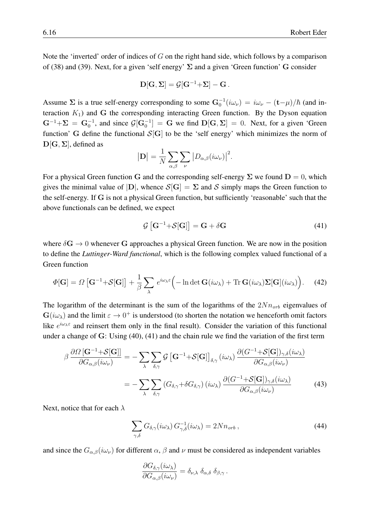Note the 'inverted' order of indices of  $G$  on the right hand side, which follows by a comparison of [\(38\)](#page-13-0) and [\(39\)](#page-14-1). Next, for a given 'self energy'  $\Sigma$  and a given 'Green function' G consider

$$
\mathbf{D}[\mathbf{G},\mathbf{\Sigma}]=\mathcal{G}[\mathbf{G}^{-1}{+}\mathbf{\Sigma}]-\mathbf{G}\,.
$$

Assume  $\Sigma$  is a true self-energy corresponding to some  $G_0^{-1}(i\omega_\nu) = i\omega_\nu - (\mathbf{t} - \mu)/\hbar$  (and interaction  $K_1$ ) and G the corresponding interacting Green function. By the Dyson equation  $G^{-1} + \Sigma = G_0^{-1}$ , and since  $\mathcal{G}[G_0^{-1}] = G$  we find  $D[G, \Sigma] = 0$ . Next, for a given 'Green function' G define the functional  $S[G]$  to be the 'self energy' which minimizes the norm of  $D[G, \Sigma]$ , defined as

$$
|\mathbf{D}| = \frac{1}{N} \sum_{\alpha,\beta} \sum_{\nu} |D_{\alpha,\beta}(i\omega_{\nu})|^2.
$$

For a physical Green function G and the corresponding self-energy  $\Sigma$  we found  $D = 0$ , which gives the minimal value of  $|D|$ , whence  $S[G] = \Sigma$  and S simply maps the Green function to the self-energy. If G is not a physical Green function, but sufficiently 'reasonable' such that the above functionals can be defined, we expect

<span id="page-15-0"></span>
$$
\mathcal{G}\left[\mathbf{G}^{-1} + \mathcal{S}[\mathbf{G}]\right] = \mathbf{G} + \delta \mathbf{G} \tag{41}
$$

where  $\delta G \rightarrow 0$  whenever G approaches a physical Green function. We are now in the position to define the *Luttinger-Ward functional*, which is the following complex valued functional of a Green function

<span id="page-15-3"></span>
$$
\Phi[\mathbf{G}] = \Omega \left[ \mathbf{G}^{-1} + \mathcal{S}[\mathbf{G}] \right] + \frac{1}{\beta} \sum_{\lambda} e^{i\omega_{\lambda} \varepsilon} \Big( -\ln \det \mathbf{G}(i\omega_{\lambda}) + \text{Tr} \, \mathbf{G}(i\omega_{\lambda}) \Sigma[\mathbf{G}](i\omega_{\lambda}) \Big). \tag{42}
$$

The logarithm of the determinant is the sum of the logarithms of the  $2Nn_{orb}$  eigenvalues of  $G(i\omega_{\lambda})$  and the limit  $\varepsilon \to 0^+$  is understood (to shorten the notation we henceforth omit factors like  $e^{i\omega_{\lambda}\varepsilon}$  and reinsert them only in the final result). Consider the variation of this functional under a change of G: Using [\(40\)](#page-14-2), [\(41\)](#page-15-0) and the chain rule we find the variation of the first term

$$
\beta \frac{\partial \Omega \left[\mathbf{G}^{-1} + \mathcal{S}[\mathbf{G}]\right]}{\partial G_{\alpha,\beta}(i\omega_{\nu})} = -\sum_{\lambda} \sum_{\delta,\gamma} \mathcal{G} \left[\mathbf{G}^{-1} + \mathcal{S}[\mathbf{G}]\right]_{\delta,\gamma} (i\omega_{\lambda}) \frac{\partial (G^{-1} + \mathcal{S}[\mathbf{G}])_{\gamma,\delta}(i\omega_{\lambda})}{\partial G_{\alpha,\beta}(i\omega_{\nu})} \n= -\sum_{\lambda} \sum_{\delta,\gamma} \left(G_{\delta,\gamma} + \delta G_{\delta,\gamma}\right) (i\omega_{\lambda}) \frac{\partial (G^{-1} + \mathcal{S}[\mathbf{G}])_{\gamma,\delta}(i\omega_{\lambda})}{\partial G_{\alpha,\beta}(i\omega_{\nu})}
$$
\n(43)

Next, notice that for each  $\lambda$ 

<span id="page-15-2"></span><span id="page-15-1"></span>
$$
\sum_{\gamma,\delta} G_{\delta,\gamma}(i\omega_{\lambda}) G_{\gamma,\delta}^{-1}(i\omega_{\lambda}) = 2N n_{orb} , \qquad (44)
$$

and since the  $G_{\alpha,\beta}(i\omega_\nu)$  for different  $\alpha, \beta$  and  $\nu$  must be considered as independent variables

$$
\frac{\partial G_{\delta,\gamma}(i\omega_{\lambda})}{\partial G_{\alpha,\beta}(i\omega_{\nu})} = \delta_{\nu,\lambda} \delta_{\alpha,\delta} \delta_{\beta,\gamma}.
$$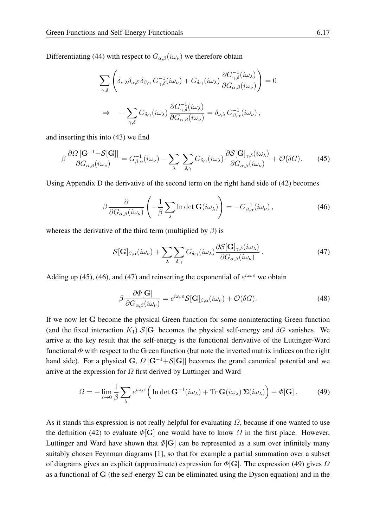Differentiating [\(44\)](#page-15-1) with respect to  $G_{\alpha,\beta}(i\omega_{\nu})$  we therefore obtain

$$
\sum_{\gamma,\delta} \left( \delta_{\nu,\lambda} \delta_{\alpha,\delta} \delta_{\beta,\gamma} G_{\gamma,\delta}^{-1}(i\omega_{\nu}) + G_{\delta,\gamma}(i\omega_{\lambda}) \frac{\partial G_{\gamma,\delta}^{-1}(i\omega_{\lambda})}{\partial G_{\alpha,\beta}(i\omega_{\nu})} \right) = 0
$$
  

$$
\Rightarrow - \sum_{\gamma,\delta} G_{\delta,\gamma}(i\omega_{\lambda}) \frac{\partial G_{\gamma,\delta}^{-1}(i\omega_{\lambda})}{\partial G_{\alpha,\beta}(i\omega_{\nu})} = \delta_{\nu,\lambda} G_{\beta,\alpha}^{-1}(i\omega_{\nu}),
$$

and inserting this into [\(43\)](#page-15-2) we find

<span id="page-16-0"></span>
$$
\beta \frac{\partial \Omega \left[\mathbf{G}^{-1} + \mathcal{S}[\mathbf{G}]\right]}{\partial G_{\alpha,\beta}(i\omega_{\nu})} = G_{\beta,\alpha}^{-1}(i\omega_{\nu}) - \sum_{\lambda} \sum_{\delta,\gamma} G_{\delta,\gamma}(i\omega_{\lambda}) \frac{\partial \mathcal{S}[\mathbf{G}]_{\gamma,\delta}(i\omega_{\lambda})}{\partial G_{\alpha,\beta}(i\omega_{\nu})} + \mathcal{O}(\delta G). \tag{45}
$$

Using Appendix D the derivative of the second term on the right hand side of [\(42\)](#page-15-3) becomes

<span id="page-16-1"></span>
$$
\beta \frac{\partial}{\partial G_{\alpha,\beta}(i\omega_{\nu})} \left( -\frac{1}{\beta} \sum_{\lambda} \ln \det \mathbf{G}(i\omega_{\lambda}) \right) = -G_{\beta,\alpha}^{-1}(i\omega_{\nu}), \qquad (46)
$$

whereas the derivative of the third term (multiplied by  $\beta$ ) is

<span id="page-16-2"></span>
$$
\mathcal{S}[\mathbf{G}]_{\beta,\alpha}(i\omega_{\nu}) + \sum_{\lambda} \sum_{\delta,\gamma} G_{\delta,\gamma}(i\omega_{\lambda}) \frac{\partial \mathcal{S}[\mathbf{G}]_{\gamma,\delta}(i\omega_{\lambda})}{\partial G_{\alpha,\beta}(i\omega_{\nu})}.
$$
(47)

Adding up [\(45\)](#page-16-0), [\(46\)](#page-16-1), and [\(47\)](#page-16-2) and reinserting the exponential of  $e^{i\omega_{\nu}\epsilon}$  we obtain

$$
\beta \frac{\partial \Phi[\mathbf{G}]}{\partial G_{\alpha,\beta}(i\omega_{\nu})} = e^{i\omega_{\nu}\varepsilon} \mathcal{S}[\mathbf{G}]_{\beta,\alpha}(i\omega_{\nu}) + \mathcal{O}(\delta G). \tag{48}
$$

If we now let G become the physical Green function for some noninteracting Green function (and the fixed interaction  $K_1$ )  $S[G]$  becomes the physical self-energy and  $\delta G$  vanishes. We arrive at the key result that the self-energy is the functional derivative of the Luttinger-Ward functional  $\Phi$  with respect to the Green function (but note the inverted matrix indices on the right hand side). For a physical G,  $\Omega$  [G<sup>-1</sup>+S[G]] becomes the grand canonical potential and we arrive at the expression for  $\Omega$  first derived by Luttinger and Ward

<span id="page-16-3"></span>
$$
\Omega = -\lim_{\varepsilon \to 0} \frac{1}{\beta} \sum_{\lambda} e^{i\omega_{\lambda}\varepsilon} \Big( \ln \det \mathbf{G}^{-1}(i\omega_{\lambda}) + \text{Tr}\,\mathbf{G}(i\omega_{\lambda}) \Sigma(i\omega_{\lambda}) \Big) + \Phi[\mathbf{G}]. \tag{49}
$$

As it stands this expression is not really helpful for evaluating  $\Omega$ , because if one wanted to use the definition [\(42\)](#page-15-3) to evaluate  $\Phi[\mathbf{G}]$  one would have to know  $\Omega$  in the first place. However, Luttinger and Ward have shown that  $\Phi[G]$  can be represented as a sum over infinitely many suitably chosen Feynman diagrams [\[1\]](#page-27-0), so that for example a partial summation over a subset of diagrams gives an explicit (approximate) expression for  $\Phi[\mathbf{G}]$ . The expression [\(49\)](#page-16-3) gives  $\Omega$ as a functional of G (the self-energy  $\Sigma$  can be eliminated using the Dyson equation) and in the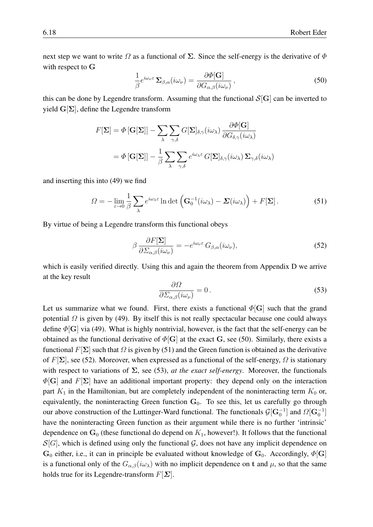next step we want to write  $\Omega$  as a functional of  $\Sigma$ . Since the self-energy is the derivative of  $\Phi$ with respect to G

<span id="page-17-0"></span>
$$
\frac{1}{\beta}e^{i\omega_{\nu}\varepsilon}\,\Sigma_{\beta,\alpha}(i\omega_{\nu}) = \frac{\partial\Phi[\mathbf{G}]}{\partial G_{\alpha,\beta}(i\omega_{\nu})}\,,\tag{50}
$$

this can be done by Legendre transform. Assuming that the functional  $S[G]$  can be inverted to yield  $G[\Sigma]$ , define the Legendre transform

$$
F[\Sigma] = \Phi[\mathbf{G}[\Sigma]] - \sum_{\lambda} \sum_{\gamma,\delta} G[\Sigma]_{\delta,\gamma}(i\omega_{\lambda}) \frac{\partial \Phi[\mathbf{G}]}{\partial G_{\delta,\gamma}(i\omega_{\lambda})}
$$

$$
= \Phi[\mathbf{G}[\Sigma]] - \frac{1}{\beta} \sum_{\lambda} \sum_{\gamma,\delta} e^{i\omega_{\lambda}\varepsilon} G[\Sigma]_{\delta,\gamma}(i\omega_{\lambda}) \Sigma_{\gamma,\delta}(i\omega_{\lambda})
$$

and inserting this into [\(49\)](#page-16-3) we find

<span id="page-17-1"></span>
$$
\Omega = -\lim_{\varepsilon \to 0} \frac{1}{\beta} \sum_{\lambda} e^{i\omega_{\lambda}\varepsilon} \ln \det \left( \mathbf{G}_0^{-1}(i\omega_{\lambda}) - \mathbf{\Sigma}(i\omega_{\lambda}) \right) + F[\mathbf{\Sigma}]. \tag{51}
$$

By virtue of being a Legendre transform this functional obeys

<span id="page-17-2"></span>
$$
\beta \frac{\partial F[\Sigma]}{\partial \Sigma_{\alpha,\beta}(i\omega_{\nu})} = -e^{i\omega_{\nu}\varepsilon} G_{\beta,\alpha}(i\omega_{\nu}),\tag{52}
$$

which is easily verified directly. Using this and again the theorem from Appendix D we arrive at the key result  $\overline{Q}$ 

<span id="page-17-3"></span>
$$
\frac{\partial \Omega}{\partial \Sigma_{\alpha,\beta}(i\omega_{\nu})} = 0. \tag{53}
$$

Let us summarize what we found. First, there exists a functional  $\Phi[\mathbf{G}]$  such that the grand potential  $\Omega$  is given by [\(49\)](#page-16-3). By itself this is not really spectacular because one could always define  $\Phi[\mathbf{G}]$  via [\(49\)](#page-16-3). What is highly nontrivial, however, is the fact that the self-energy can be obtained as the functional derivative of  $\Phi[\mathbf{G}]$  at the exact G, see [\(50\)](#page-17-0). Similarly, there exists a functional  $F[\Sigma]$  such that  $\Omega$  is given by [\(51\)](#page-17-1) and the Green function is obtained as the derivative of  $F[\Sigma]$ , see [\(52\)](#page-17-2). Moreover, when expressed as a functional of the self-energy,  $\Omega$  is stationary with respect to variations of  $\Sigma$ , see [\(53\)](#page-17-3), *at the exact self-energy*. Moreover, the functionals  $\Phi[G]$  and  $F[\Sigma]$  have an additional important property: they depend only on the interaction part  $K_1$  in the Hamiltonian, but are completely independent of the noninteracting term  $K_0$  or, equivalently, the noninteracting Green function  $G_0$ . To see this, let us carefully go through our above construction of the Luttinger-Ward functional. The functionals  $\mathcal{G}[\mathbf{G}_0^{-1}]$  and  $\Omega[\mathbf{G}_0^{-1}]$ have the noninteracting Green function as their argument while there is no further 'intrinsic' dependence on  $G_0$  (these functional do depend on  $K_1$ , however!). It follows that the functional  $S[G]$ , which is defined using only the functional  $G$ , does not have any implicit dependence on  $G_0$  either, i.e., it can in principle be evaluated without knowledge of  $G_0$ . Accordingly,  $\Phi[G]$ is a functional only of the  $G_{\alpha,\beta}(i\omega_\lambda)$  with no implicit dependence on t and  $\mu$ , so that the same holds true for its Legendre-transform  $F[\Sigma]$ .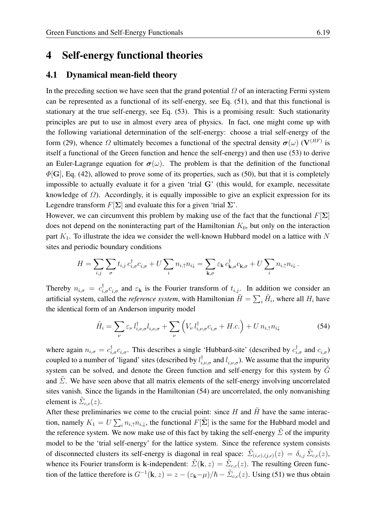### <span id="page-18-0"></span>4 Self-energy functional theories

#### <span id="page-18-1"></span>4.1 Dynamical mean-field theory

In the preceding section we have seen that the grand potential  $\Omega$  of an interacting Fermi system can be represented as a functional of its self-energy, see Eq. [\(51\)](#page-17-1), and that this functional is stationary at the true self-energy, see Eq. [\(53\)](#page-17-3). This is a promising result: Such stationarity principles are put to use in almost every area of physics. In fact, one might come up with the following variational determination of the self-energy: choose a trial self-energy of the form [\(29\)](#page-9-2), whence  $\Omega$  ultimately becomes a functional of the spectral density  $\sigma(\omega)$  (V<sup>(HF)</sup> is itself a functional of the Green function and hence the self-energy) and then use [\(53\)](#page-17-3) to derive an Euler-Lagrange equation for  $\sigma(\omega)$ . The problem is that the definition of the functional  $\Phi[\mathbf{G}]$ , Eq. [\(42\)](#page-15-3), allowed to prove some of its properties, such as [\(50\)](#page-17-0), but that it is completely impossible to actually evaluate it for a given 'trial G' (this would, for example, necessitate knowledge of  $\Omega$ ). Accordingly, it is equally impossible to give an explicit expression for its Legendre transform  $F[\Sigma]$  and evaluate this for a given 'trial  $\Sigma'$ .

However, we can circumvent this problem by making use of the fact that the functional  $F[\Sigma]$ does not depend on the noninteracting part of the Hamiltonian  $K_0$ , but only on the interaction part  $K_1$ . To illustrate the idea we consider the well-known Hubbard model on a lattice with N sites and periodic boundary conditions

$$
H = \sum_{i,j} \sum_{\sigma} t_{i,j} c_{i,\sigma}^{\dagger} c_{i,\sigma} + U \sum_{i} n_{i,\uparrow} n_{i\downarrow} = \sum_{\mathbf{k},\sigma} \varepsilon_{\mathbf{k}} c_{\mathbf{k},\sigma}^{\dagger} c_{\mathbf{k},\sigma} + U \sum_{i} n_{i,\uparrow} n_{i\downarrow}.
$$

Thereby  $n_{i,\sigma} = c_{i,\sigma}^{\dagger} c_{i,\sigma}$  and  $\varepsilon_{\bf k}$  is the Fourier transform of  $t_{i,j}$ . In addition we consider an artificial system, called the *reference system*, with Hamiltonian  $\tilde{H} = \sum_i \tilde{H}_i$ , where all  $H_i$  have the identical form of an Anderson impurity model

<span id="page-18-2"></span>
$$
\tilde{H}_i = \sum_{\nu} \varepsilon_{\nu} l_{i,\nu,\sigma}^{\dagger} l_{i,\nu,\sigma} + \sum_{\nu} \left( V_{\nu} l_{i,\nu,\sigma}^{\dagger} c_{i,\sigma} + H.c. \right) + U n_{i,\uparrow} n_{i\downarrow}
$$
\n(54)

where again  $n_{i,\sigma} = c_{i,\sigma}^{\dagger} c_{i,\sigma}$ . This describes a single 'Hubbard-site' (described by  $c_{i,\sigma}^{\dagger}$  and  $c_{i,\sigma}$ ) coupled to a number of 'ligand' sites (described by  $l_{i,\nu,\sigma}^{\dagger}$  and  $l_{i,\nu,\sigma}$ ). We assume that the impurity system can be solved, and denote the Green function and self-energy for this system by  $\tilde{G}$ and  $\Sigma$ . We have seen above that all matrix elements of the self-energy involving uncorrelated sites vanish. Since the ligands in the Hamiltonian [\(54\)](#page-18-2) are uncorrelated, the only nonvanishing element is  $\tilde{\Sigma}_{c,c}(z)$ .

After these preliminaries we come to the crucial point: since  $H$  and  $\tilde{H}$  have the same interaction, namely  $K_1 = U \sum_i n_{i,\uparrow} n_{i,\downarrow}$ , the functional  $F[\tilde{\Sigma}]$  is the same for the Hubbard model and the reference system. We now make use of this fact by taking the self-energy  $\Sigma$  of the impurity model to be the 'trial self-energy' for the lattice system. Since the reference system consists of disconnected clusters its self-energy is diagonal in real space:  $\tilde{\Sigma}_{(i,c),(j,c)}(z) = \delta_{i,j} \tilde{\Sigma}_{c,c}(z)$ , whence its Fourier transform is k-independent:  $\tilde{\Sigma}(\mathbf{k},z) = \tilde{\Sigma}_{c,c}(z)$ . The resulting Green function of the lattice therefore is  $G^{-1}(\mathbf{k}, z) = z - (\varepsilon_{\mathbf{k}} - \mu)/\hbar - \tilde{\Sigma}_{c,c}(z)$ . Using [\(51\)](#page-17-1) we thus obtain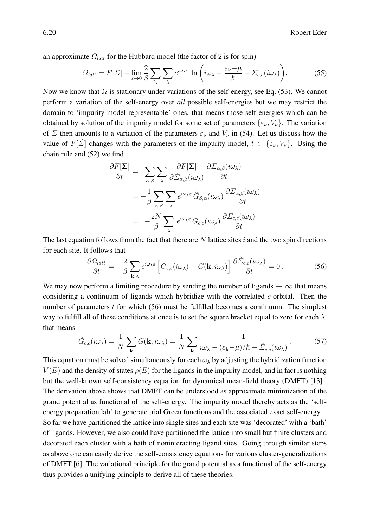an approximate  $\Omega_{latt}$  for the Hubbard model (the factor of 2 is for spin)

$$
\Omega_{latt} = F[\tilde{\Sigma}] - \lim_{\varepsilon \to 0} \frac{2}{\beta} \sum_{\mathbf{k}} \sum_{\lambda} e^{i\omega_{\lambda}\varepsilon} \ln \left( i\omega_{\lambda} - \frac{\varepsilon_{\mathbf{k}} - \mu}{\hbar} - \tilde{\Sigma}_{c,c}(i\omega_{\lambda}) \right).
$$
 (55)

Now we know that  $\Omega$  is stationary under variations of the self-energy, see Eq. [\(53\)](#page-17-3). We cannot perform a variation of the self-energy over *all* possible self-energies but we may restrict the domain to 'impurity model representable' ones, that means those self-energies which can be obtained by solution of the impurity model for some set of parameters  $\{\varepsilon_{\nu}, V_{\nu}\}\.$  The variation of  $\overline{\Sigma}$  then amounts to a variation of the parameters  $\varepsilon_{\nu}$  and  $V_{\nu}$  in [\(54\)](#page-18-2). Let us discuss how the value of  $F[\tilde{\Sigma}]$  changes with the parameters of the impurity model,  $t \in {\varepsilon_{\nu}, V_{\nu}}$ . Using the chain rule and [\(52\)](#page-17-2) we find

$$
\frac{\partial F[\tilde{\Sigma}]}{\partial t} = \sum_{\alpha,\beta} \sum_{\lambda} \frac{\partial F[\tilde{\Sigma}]}{\partial \tilde{\Sigma}_{\alpha,\beta}(i\omega_{\lambda})} \frac{\partial \tilde{\Sigma}_{\alpha,\beta}(i\omega_{\lambda})}{\partial t} \n= -\frac{1}{\beta} \sum_{\alpha,\beta} \sum_{\lambda} e^{i\omega_{\lambda}\varepsilon} \tilde{G}_{\beta,\alpha}(i\omega_{\lambda}) \frac{\partial \tilde{\Sigma}_{\alpha,\beta}(i\omega_{\lambda})}{\partial t} \n= -\frac{2N}{\beta} \sum_{\lambda} e^{i\omega_{\lambda}\varepsilon} \tilde{G}_{c,c}(i\omega_{\lambda}) \frac{\partial \tilde{\Sigma}_{c,c}(i\omega_{\lambda})}{\partial t}.
$$

The last equation follows from the fact that there are  $N$  lattice sites  $i$  and the two spin directions for each site. It follows that

<span id="page-19-0"></span>
$$
\frac{\partial \Omega_{latt}}{\partial t} = -\frac{2}{\beta} \sum_{\mathbf{k},\lambda} e^{i\omega_{\lambda}\varepsilon} \left[ \tilde{G}_{c,c}(i\omega_{\lambda}) - G(\mathbf{k}, i\omega_{\lambda}) \right] \frac{\partial \tilde{\Sigma}_{c,c}(i\omega_{\lambda})}{\partial t} = 0. \tag{56}
$$

We may now perform a limiting procedure by sending the number of ligands  $\rightarrow \infty$  that means considering a continuum of ligands which hybridize with the correlated c-orbital. Then the number of parameters t for which [\(56\)](#page-19-0) must be fulfilled becomes a continuum. The simplest way to fulfill all of these conditions at once is to set the square bracket equal to zero for each  $\lambda$ , that means

$$
\tilde{G}_{c,c}(i\omega_{\lambda}) = \frac{1}{N} \sum_{\mathbf{k}} G(\mathbf{k}, i\omega_{\lambda}) = \frac{1}{N} \sum_{\mathbf{k}} \frac{1}{i\omega_{\lambda} - (\varepsilon_{\mathbf{k}} - \mu)/\hbar - \tilde{\Sigma}_{c,c}(i\omega_{\lambda})}.
$$
(57)

This equation must be solved simultaneously for each  $\omega_{\lambda}$  by adjusting the hybridization function  $V(E)$  and the density of states  $\rho(E)$  for the ligands in the impurity model, and in fact is nothing but the well-known self-consistency equation for dynamical mean-field theory (DMFT) [\[13\]](#page-27-12) . The derivation above shows that DMFT can be understood as approximate minimization of the grand potential as functional of the self-energy. The impurity model thereby acts as the 'selfenergy preparation lab' to generate trial Green functions and the associated exact self-energy. So far we have partitioned the lattice into single sites and each site was 'decorated' with a 'bath' of ligands. However, we also could have partitioned the lattice into small but finite clusters and decorated each cluster with a bath of noninteracting ligand sites. Going through similar steps as above one can easily derive the self-consistency equations for various cluster-generalizations of DMFT [\[6\]](#page-27-5). The variational principle for the grand potential as a functional of the self-energy thus provides a unifying principle to derive all of these theories.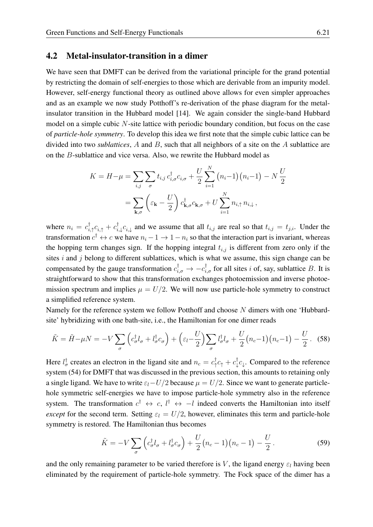#### <span id="page-20-0"></span>4.2 Metal-insulator-transition in a dimer

We have seen that DMFT can be derived from the variational principle for the grand potential by restricting the domain of self-energies to those which are derivable from an impurity model. However, self-energy functional theory as outlined above allows for even simpler approaches and as an example we now study Potthoff's re-derivation of the phase diagram for the metalinsulator transition in the Hubbard model [\[14\]](#page-27-13). We again consider the single-band Hubbard model on a simple cubic  $N$ -site lattice with periodic boundary condition, but focus on the case of *particle-hole symmetry*. To develop this idea we first note that the simple cubic lattice can be divided into two *sublattices*, A and B, such that all neighbors of a site on the A sublattice are on the B-sublattice and vice versa. Also, we rewrite the Hubbard model as

$$
K = H - \mu = \sum_{i,j} \sum_{\sigma} t_{i,j} c_{i,\sigma}^{\dagger} c_{i,\sigma} + \frac{U}{2} \sum_{i=1}^{N} (n_i - 1)(n_i - 1) - N \frac{U}{2}
$$

$$
= \sum_{\mathbf{k},\sigma} \left( \varepsilon_{\mathbf{k}} - \frac{U}{2} \right) c_{\mathbf{k},\sigma}^{\dagger} c_{\mathbf{k},\sigma} + U \sum_{i=1}^{N} n_{i,\uparrow} n_{i,\downarrow},
$$

where  $n_i = c_i^{\dagger}$  $_{i,\uparrow}^{\dagger}c^{\phantom{\dagger}}_{i,\uparrow}+c_{i\downarrow}^{\dagger}$  $_{i,\downarrow}^{\intercal}c_{i,\downarrow}$  and we assume that all  $t_{i,j}$  are real so that  $t_{i,j} = t_{j,i}$ . Under the transformation  $c^{\dagger} \leftrightarrow c$  we have  $n_i - 1 \to 1 - n_i$  so that the interaction part is invariant, whereas the hopping term changes sign. If the hopping integral  $t_{i,j}$  is different from zero only if the sites  $i$  and  $j$  belong to different sublattices, which is what we assume, this sign change can be compensated by the gauge transformation  $c_{i,\sigma}^{\dagger} \to -c_{i,\sigma}^{\dagger}$  for all sites i of, say, sublattice B. It is straightforward to show that this transformation exchanges photoemission and inverse photoemission spectrum and implies  $\mu = U/2$ . We will now use particle-hole symmetry to construct a simplified reference system.

Namely for the reference system we follow Potthoff and choose N dimers with one 'Hubbardsite' hybridizing with one bath-site, i.e., the Hamiltonian for one dimer reads

$$
\tilde{K} = \tilde{H} - \mu N = -V \sum_{\sigma} \left( c_{\sigma}^{\dagger} l_{\sigma} + l_{\sigma}^{\dagger} c_{\sigma} \right) + \left( \varepsilon_l - \frac{U}{2} \right) \sum_{\sigma} l_{\sigma}^{\dagger} l_{\sigma} + \frac{U}{2} \left( n_c - 1 \right) \left( n_c - 1 \right) - \frac{U}{2} \,. \tag{58}
$$

Here  $l_{\sigma}^{\dagger}$  creates an electron in the ligand site and  $n_c = c_{\uparrow}^{\dagger}$  $\frac{1}{\uparrow}c_{\uparrow}+c_{\downarrow}^{\dagger}$  $\int_{\psi}^{\tau} c_{\psi}$ . Compared to the reference system [\(54\)](#page-18-2) for DMFT that was discussed in the previous section, this amounts to retaining only a single ligand. We have to write  $\varepsilon_l-U/2$  because  $\mu = U/2$ . Since we want to generate particlehole symmetric self-energies we have to impose particle-hole symmetry also in the reference system. The transformation  $c^{\dagger} \leftrightarrow c$ ,  $l^{\dagger} \leftrightarrow -l$  indeed converts the Hamiltonian into itself *except* for the second term. Setting  $\varepsilon_l = U/2$ , however, eliminates this term and particle-hole symmetry is restored. The Hamiltonian thus becomes

<span id="page-20-1"></span>
$$
\tilde{K} = -V \sum_{\sigma} \left( c_{\sigma}^{\dagger} l_{\sigma} + l_{\sigma}^{\dagger} c_{\sigma} \right) + \frac{U}{2} \left( n_c - 1 \right) \left( n_c - 1 \right) - \frac{U}{2} \,. \tag{59}
$$

and the only remaining parameter to be varied therefore is V, the ligand energy  $\varepsilon_l$  having been eliminated by the requirement of particle-hole symmetry. The Fock space of the dimer has a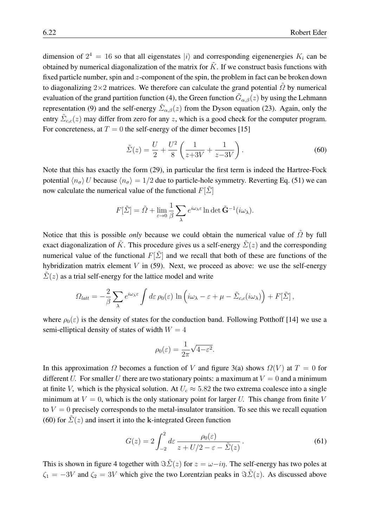dimension of  $2^4 = 16$  so that all eigenstates  $|i\rangle$  and corresponding eigenenergies  $K_i$  can be obtained by numerical diagonalization of the matrix for  $\tilde{K}$ . If we construct basis functions with fixed particle number, spin and z-component of the spin, the problem in fact can be broken down to diagonalizing 2×2 matrices. We therefore can calculate the grand potential  $\tilde{\Omega}$  by numerical evaluation of the grand partition function [\(4\)](#page-2-5), the Green function  $\tilde{G}_{\alpha,\beta}(z)$  by using the Lehmann representation [\(9\)](#page-4-0) and the self-energy  $\tilde{\Sigma}_{\alpha,\beta}(z)$  from the Dyson equation [\(23\)](#page-7-4). Again, only the entry  $\tilde{\Sigma}_{c,c}(z)$  may differ from zero for any z, which is a good check for the computer program. For concreteness, at  $T = 0$  the self-energy of the dimer becomes [\[15\]](#page-27-14)

<span id="page-21-0"></span>
$$
\tilde{\Sigma}(z) = \frac{U}{2} + \frac{U^2}{8} \left( \frac{1}{z + 3V} + \frac{1}{z - 3V} \right). \tag{60}
$$

Note that this has exactly the form [\(29\)](#page-9-2), in particular the first term is indeed the Hartree-Fock potential  $\langle n_{\sigma} \rangle$  U because  $\langle n_{\sigma} \rangle = 1/2$  due to particle-hole symmetry. Reverting Eq. [\(51\)](#page-17-1) we can now calculate the numerical value of the functional  $F[\tilde{\Sigma}]$ 

$$
F[\tilde{\varSigma}] = \tilde{\varOmega} + \lim_{\varepsilon \to 0} \frac{1}{\beta} \sum_{\lambda} e^{i\omega_{\lambda}\varepsilon} \ln \det \tilde{\mathbf{G}}^{-1}(i\omega_{\lambda}).
$$

Notice that this is possible *only* because we could obtain the numerical value of  $\tilde{\Omega}$  by full exact diagonalization of  $\tilde{K}$ . This procedure gives us a self-energy  $\tilde{\Sigma}(z)$  and the corresponding numerical value of the functional  $F[\tilde{\Sigma}]$  and we recall that both of these are functions of the hybridization matrix element  $V$  in [\(59\)](#page-20-1). Next, we proceed as above: we use the self-energy  $\hat{\Sigma}(z)$  as a trial self-energy for the lattice model and write

$$
\Omega_{latt} = -\frac{2}{\beta} \sum_{\lambda} e^{i\omega_{\lambda} \varepsilon} \int d\varepsilon \, \rho_0(\varepsilon) \, \ln \left( i\omega_{\lambda} - \varepsilon + \mu - \tilde{\Sigma}_{c,c}(i\omega_{\lambda}) \right) + F[\tilde{\Sigma}],
$$

where  $\rho_0(\varepsilon)$  is the density of states for the conduction band. Following Potthoff [\[14\]](#page-27-13) we use a semi-elliptical density of states of width  $W = 4$ 

$$
\rho_0(\varepsilon)=\frac{1}{2\pi}\sqrt{4-\varepsilon^2}.
$$

In this approximation  $\Omega$  becomes a function of V and figure [3\(](#page-22-0)a) shows  $\Omega(V)$  at  $T = 0$  for different U. For smaller U there are two stationary points: a maximum at  $V = 0$  and a minimum at finite V, which is the physical solution. At  $U_c \approx 5.82$  the two extrema coalesce into a single minimum at  $V = 0$ , which is the only stationary point for larger U. This change from finite V to  $V = 0$  precisely corresponds to the metal-insulator transition. To see this we recall equation [\(60\)](#page-21-0) for  $\tilde{\Sigma}(z)$  and insert it into the k-integrated Green function

<span id="page-21-1"></span>
$$
G(z) = 2 \int_{-2}^{2} d\varepsilon \, \frac{\rho_0(\varepsilon)}{z + U/2 - \varepsilon - \tilde{\Sigma}(z)} \,. \tag{61}
$$

This is shown in figure [4](#page-23-1) together with  $\Im \tilde{\Sigma}(z)$  for  $z = \omega - i\eta$ . The self-energy has two poles at  $\zeta_1 = -3V$  and  $\zeta_2 = 3V$  which give the two Lorentzian peaks in  $\Im \tilde{\Sigma}(z)$ . As discussed above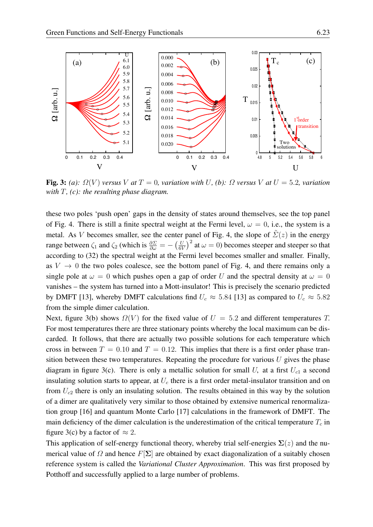

<span id="page-22-0"></span>Fig. 3: *(a):*  $\Omega(V)$  *versus* V *at*  $T = 0$ *, variation with* U, *(b):*  $\Omega$  *versus* V *at*  $U = 5.2$ *, variation with* T*, (c): the resulting phase diagram.*

these two poles 'push open' gaps in the density of states around themselves, see the top panel of Fig. [4.](#page-23-1) There is still a finite spectral weight at the Fermi level,  $\omega = 0$ , i.e., the system is a metal. As V becomes smaller, see the center panel of Fig. [4,](#page-23-1) the slope of  $\tilde{\Sigma}(z)$  in the energy range between  $\zeta_1$  and  $\zeta_2$  (which is  $\frac{\partial \Sigma}{\partial \omega} = -\left(\frac{U}{6V}\right)$  $\left(\frac{U}{6V}\right)^2$  at  $\omega = 0$ ) becomes steeper and steeper so that according to [\(32\)](#page-10-1) the spectral weight at the Fermi level becomes smaller and smaller. Finally, as  $V \rightarrow 0$  the two poles coalesce, see the bottom panel of Fig. [4,](#page-23-1) and there remains only a single pole at  $\omega = 0$  which pushes open a gap of order U and the spectral density at  $\omega = 0$ vanishes – the system has turned into a Mott-insulator! This is precisely the scenario predicted by DMFT [\[13\]](#page-27-12), whereby DMFT calculations find  $U_c \approx 5.84$  [13] as compared to  $U_c \approx 5.82$ from the simple dimer calculation.

Next, figure [3\(](#page-22-0)b) shows  $\Omega(V)$  for the fixed value of  $U = 5.2$  and different temperatures T. For most temperatures there are three stationary points whereby the local maximum can be discarded. It follows, that there are actually two possible solutions for each temperature which cross in between  $T = 0.10$  and  $T = 0.12$ . This implies that there is a first order phase transition between these two temperatures. Repeating the procedure for various  $U$  gives the phase diagram in figure [3\(](#page-22-0)c). There is only a metallic solution for small U, at a first  $U_{c1}$  a second insulating solution starts to appear, at  $U_c$  there is a first order metal-insulator transition and on from  $U_{c2}$  there is only an insulating solution. The results obtained in this way by the solution of a dimer are qualitatively very similar to those obtained by extensive numerical renormalization group [\[16\]](#page-27-15) and quantum Monte Carlo [\[17\]](#page-27-16) calculations in the framework of DMFT. The main deficiency of the dimer calculation is the underestimation of the critical temperature  $T_c$  in figure [3\(](#page-22-0)c) by a factor of  $\approx$  2.

This application of self-energy functional theory, whereby trial self-energies  $\Sigma(z)$  and the numerical value of  $\Omega$  and hence  $F[\Sigma]$  are obtained by exact diagonalization of a suitably chosen reference system is called the *Variational Cluster Approximation*. This was first proposed by Potthoff and successfully applied to a large number of problems.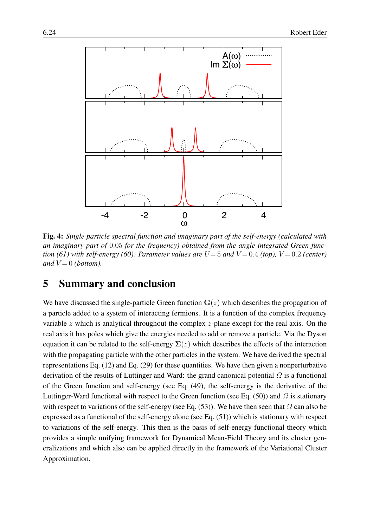

<span id="page-23-1"></span>Fig. 4: *Single particle spectral function and imaginary part of the self-energy (calculated with an imaginary part of* 0.05 *for the frequency) obtained from the angle integrated Green function* [\(61\)](#page-21-1) with self-energy [\(60\)](#page-21-0). Parameter values are  $U=5$  and  $V=0.4$  (top),  $V=0.2$  (center) *and*  $V = 0$  *(bottom).* 

## <span id="page-23-0"></span>5 Summary and conclusion

We have discussed the single-particle Green function  $G(z)$  which describes the propagation of a particle added to a system of interacting fermions. It is a function of the complex frequency variable  $z$  which is analytical throughout the complex  $z$ -plane except for the real axis. On the real axis it has poles which give the energies needed to add or remove a particle. Via the Dyson equation it can be related to the self-energy  $\Sigma(z)$  which describes the effects of the interaction with the propagating particle with the other particles in the system. We have derived the spectral representations Eq. [\(12\)](#page-5-0) and Eq. [\(29\)](#page-9-2) for these quantities. We have then given a nonperturbative derivation of the results of Luttinger and Ward: the grand canonical potential  $\Omega$  is a functional of the Green function and self-energy (see Eq. [\(49\)](#page-16-3), the self-energy is the derivative of the Luttinger-Ward functional with respect to the Green function (see Eq. [\(50\)](#page-17-0)) and  $\Omega$  is stationary with respect to variations of the self-energy (see Eq. [\(53\)](#page-17-3)). We have then seen that  $\Omega$  can also be expressed as a functional of the self-energy alone (see Eq. [\(51\)](#page-17-1)) which is stationary with respect to variations of the self-energy. This then is the basis of self-energy functional theory which provides a simple unifying framework for Dynamical Mean-Field Theory and its cluster generalizations and which also can be applied directly in the framework of the Variational Cluster Approximation.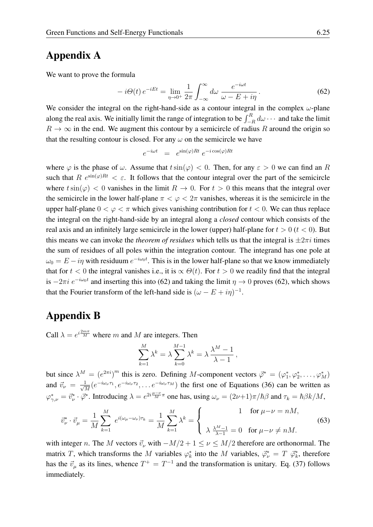## Appendix A

We want to prove the formula

<span id="page-24-0"></span>
$$
-i\Theta(t)\,e^{-iEt} = \lim_{\eta \to 0^+} \frac{1}{2\pi} \int_{-\infty}^{\infty} d\omega \, \frac{e^{-i\omega t}}{\omega - E + i\eta} \,. \tag{62}
$$

We consider the integral on the right-hand-side as a contour integral in the complex  $\omega$ -plane along the real axis. We initially limit the range of integration to be  $\int_{-R}^{R} d\omega \cdots$  and take the limit  $R \to \infty$  in the end. We augment this contour by a semicircle of radius R around the origin so that the resulting contour is closed. For any  $\omega$  on the semicircle we have

$$
e^{-i\omega t} = e^{\sin(\varphi)Rt} e^{-i\cos(\varphi)Rt}
$$

where  $\varphi$  is the phase of  $\omega$ . Assume that  $t \sin(\varphi) < 0$ . Then, for any  $\varepsilon > 0$  we can find an R such that R  $e^{\sin(\varphi)Rt} < \varepsilon$ . It follows that the contour integral over the part of the semicircle where  $t\sin(\varphi) < 0$  vanishes in the limit  $R \to 0$ . For  $t > 0$  this means that the integral over the semicircle in the lower half-plane  $\pi < \varphi < 2\pi$  vanishes, whereas it is the semicircle in the upper half-plane  $0 < \varphi < \pi$  which gives vanishing contribution for  $t < 0$ . We can thus replace the integral on the right-hand-side by an integral along a *closed* contour which consists of the real axis and an infinitely large semicircle in the lower (upper) half-plane for  $t > 0$  ( $t < 0$ ). But this means we can invoke the *theorem of residues* which tells us that the integral is  $\pm 2\pi i$  times the sum of residues of all poles within the integration contour. The integrand has one pole at  $\omega_0 = E - i\eta$  with residuum  $e^{-i\omega_0 t}$ . This is in the lower half-plane so that we know immediately that for  $t < 0$  the integral vanishes i.e., it is  $\propto \Theta(t)$ . For  $t > 0$  we readily find that the integral is  $-2\pi i e^{-i\omega_0 t}$  and inserting this into [\(62\)](#page-24-0) and taking the limit  $\eta \to 0$  proves (62), which shows that the Fourier transform of the left-hand side is  $(\omega - E + i\eta)^{-1}$ .

### Appendix B

Call  $\lambda = e^{i \frac{2m\pi}{M}}$  where m and M are integers. Then

$$
\sum_{k=1}^{M} \lambda^k = \lambda \sum_{k=0}^{M-1} \lambda^k = \lambda \frac{\lambda^M - 1}{\lambda - 1},
$$

but since  $\lambda^M = (e^{2\pi i})^m$  this is zero. Defining M-component vectors  $\vec{\varphi}^* = (\varphi_1^*, \varphi_2^*, \dots, \varphi_M^*)$ and  $\vec{v}_{\nu} = \frac{1}{\sqrt{2}}$  $\frac{1}{M}(e^{-i\omega_\nu\tau_1},e^{-i\omega_\nu\tau_2},\ldots e^{-i\omega_\nu\tau_M})$  the first one of Equations [\(36\)](#page-12-3) can be written as  $\varphi_{\gamma,\nu}^* = \vec{v}_\nu^* \cdot \vec{\varphi}^*$ . Introducing  $\lambda = e^{2i\frac{\mu-\nu}{M}\pi}$  one has, using  $\omega_\nu = (2\nu+1)\pi/\hbar\beta$  and  $\tau_k = \hbar\beta k/M$ ,

$$
\vec{v}_{\nu}^* \cdot \vec{v}_{\mu} = \frac{1}{M} \sum_{k=1}^M e^{i(\omega_{\mu} - \omega_{\nu})\tau_k} = \frac{1}{M} \sum_{k=1}^M \lambda^k = \begin{cases} 1 & \text{for } \mu - \nu = nM, \\ \lambda \frac{\lambda^M - 1}{\lambda - 1} = 0 & \text{for } \mu - \nu \neq nM. \end{cases}
$$
(63)

with integer n. The M vectors  $\vec{v}_\nu$  with  $-M/2 + 1 \le \nu \le M/2$  therefore are orthonormal. The matrix T, which transforms the M variables  $\varphi_k^*$  into the M variables,  $\vec{\varphi}_k^* = T \ \vec{\varphi}_k^*$ , therefore has the  $\vec{v}_{\mu}$  as its lines, whence  $T^+ = T^{-1}$  and the transformation is unitary. Eq. [\(37\)](#page-12-0) follows immediately.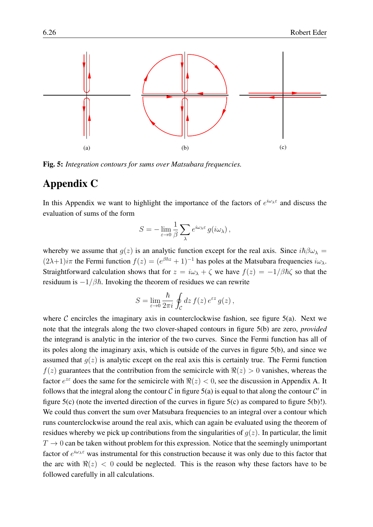

<span id="page-25-0"></span>Fig. 5: *Integration contours for sums over Matsubara frequencies.*

### Appendix C

In this Appendix we want to highlight the importance of the factors of  $e^{i\omega_{\lambda}\epsilon}$  and discuss the evaluation of sums of the form

$$
S = -\lim_{\varepsilon \to 0} \frac{1}{\beta} \sum_{\lambda} e^{i\omega_{\lambda}\varepsilon} g(i\omega_{\lambda}),
$$

whereby we assume that  $q(z)$  is an analytic function except for the real axis. Since  $i\hbar\beta\omega_{\lambda} =$  $(2\lambda+1)i\pi$  the Fermi function  $f(z) = (e^{\beta\hbar z} + 1)^{-1}$  has poles at the Matsubara frequencies  $i\omega_{\lambda}$ . Straightforward calculation shows that for  $z = i\omega_{\lambda} + \zeta$  we have  $f(z) = -1/\beta\hbar\zeta$  so that the residuum is  $-1/\beta\hbar$ . Invoking the theorem of residues we can rewrite

$$
S = \lim_{\varepsilon \to 0} \frac{\hbar}{2\pi i} \oint_{\mathcal{C}} dz f(z) e^{\varepsilon z} g(z),
$$

where  $C$  encircles the imaginary axis in counterclockwise fashion, see figure [5\(](#page-25-0)a). Next we note that the integrals along the two clover-shaped contours in figure [5\(](#page-25-0)b) are zero, *provided* the integrand is analytic in the interior of the two curves. Since the Fermi function has all of its poles along the imaginary axis, which is outside of the curves in figure [5\(](#page-25-0)b), and since we assumed that  $q(z)$  is analytic except on the real axis this is certainly true. The Fermi function  $f(z)$  guarantees that the contribution from the semicircle with  $\Re(z) > 0$  vanishes, whereas the factor  $e^{z\epsilon}$  does the same for the semicircle with  $\Re(z) < 0$ , see the discussion in Appendix A. It follows that the integral along the contour C in figure [5\(](#page-25-0)a) is equal to that along the contour C' in figure [5\(](#page-25-0)c) (note the inverted direction of the curves in figure [5\(](#page-25-0)c) as compared to figure [5\(](#page-25-0)b)!). We could thus convert the sum over Matsubara frequencies to an integral over a contour which runs counterclockwise around the real axis, which can again be evaluated using the theorem of residues whereby we pick up contributions from the singularities of  $g(z)$ . In particular, the limit  $T \to 0$  can be taken without problem for this expression. Notice that the seemingly unimportant factor of  $e^{i\omega_{\lambda}\epsilon}$  was instrumental for this construction because it was only due to this factor that the arc with  $\Re(z)$  < 0 could be neglected. This is the reason why these factors have to be followed carefully in all calculations.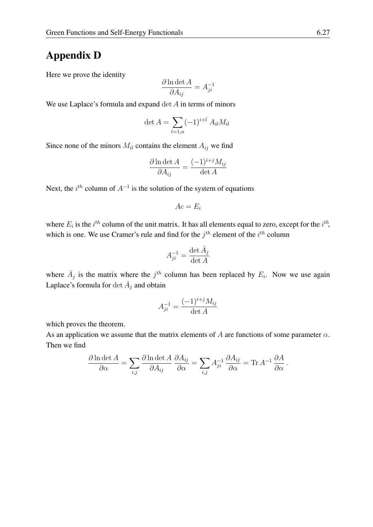## Appendix D

Here we prove the identity

$$
\frac{\partial \ln \det A}{\partial A_{ij}} = A_{ji}^{-1}
$$

We use Laplace's formula and expand  $\det A$  in terms of minors

$$
\det A = \sum_{l=1,n} (-1)^{i+l} A_{il} M_{il}
$$

Since none of the minors  $M_{il}$  contains the element  $A_{ij}$  we find

$$
\frac{\partial \ln \det A}{\partial A_{ij}} = \frac{(-1)^{i+j} M_{ij}}{\det A}
$$

Next, the  $i^{th}$  column of  $A^{-1}$  is the solution of the system of equations

$$
Ac=E_i
$$

where  $E_i$  is the  $i^{th}$  column of the unit matrix. It has all elements equal to zero, except for the  $i^{th}$ , which is one. We use Cramer's rule and find for the  $j<sup>th</sup>$  element of the  $i<sup>th</sup>$  column

$$
A_{ji}^{-1} = \frac{\det \bar{A}_j}{\det A}
$$

where  $\overline{A}_j$  is the matrix where the  $j^{th}$  column has been replaced by  $E_i$ . Now we use again Laplace's formula for  $\det \bar{A}_j$  and obtain

$$
A_{ji}^{-1} = \frac{(-1)^{i+j} M_{ij}}{\det A}
$$

which proves the theorem.

As an application we assume that the matrix elements of A are functions of some parameter  $\alpha$ . Then we find

$$
\frac{\partial \ln \det A}{\partial \alpha} = \sum_{i,j} \frac{\partial \ln \det A}{\partial A_{ij}} \frac{\partial A_{ij}}{\partial \alpha} = \sum_{i,j} A_{ji}^{-1} \frac{\partial A_{ij}}{\partial \alpha} = \text{Tr} A^{-1} \frac{\partial A}{\partial \alpha}.
$$